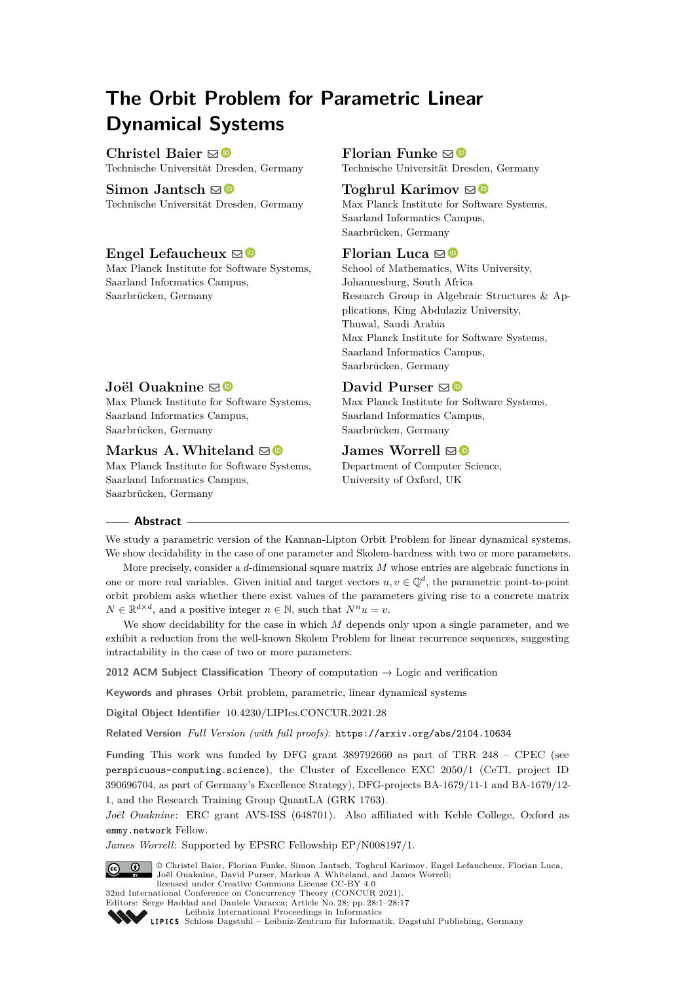# **The Orbit Problem for Parametric Linear Dynamical Systems**

**Christel Baier** ⊠<sup>■</sup> Technische Universität Dresden, Germany

**Simon Jantsch** ⊠<sup>®</sup> Technische Universität Dresden, Germany

## **Engel Lefaucheux**  $\boxtimes$

Max Planck Institute for Software Systems, Saarland Informatics Campus, Saarbrücken, Germany

## **Florian Funke**  $\boxdot$

Technische Universität Dresden, Germany

## **Toghrul Karimov**  $\odot$

Max Planck Institute for Software Systems, Saarland Informatics Campus, Saarbrücken, Germany

## **Florian Luca** ⊠<sup>■</sup>

School of Mathematics, Wits University, Johannesburg, South Africa Research Group in Algebraic Structures & Applications, King Abdulaziz University, Thuwal, Saudi Arabia Max Planck Institute for Software Systems, Saarland Informatics Campus, Saarbrücken, Germany

## **Joël Ouaknine** ⊠<sup>®</sup>

Max Planck Institute for Software Systems, Saarland Informatics Campus, Saarbrücken, Germany

## **Markus A. Whiteland**  $\boxtimes$

Max Planck Institute for Software Systems, Saarland Informatics Campus, Saarbrücken, Germany

## **David Purser**  $\mathbf{\Theta}$

Max Planck Institute for Software Systems, Saarland Informatics Campus, Saarbrücken, Germany

## **James Worrell**  $\boxtimes$  **■**

Department of Computer Science, University of Oxford, UK

### **Abstract**

We study a parametric version of the Kannan-Lipton Orbit Problem for linear dynamical systems. We show decidability in the case of one parameter and Skolem-hardness with two or more parameters.

More precisely, consider a *d*-dimensional square matrix *M* whose entries are algebraic functions in one or more real variables. Given initial and target vectors  $u, v \in \mathbb{Q}^d$ , the parametric point-to-point orbit problem asks whether there exist values of the parameters giving rise to a concrete matrix  $N \in \mathbb{R}^{d \times d}$ , and a positive integer  $n \in \mathbb{N}$ , such that  $N^n u = v$ .

We show decidability for the case in which *M* depends only upon a single parameter, and we exhibit a reduction from the well-known Skolem Problem for linear recurrence sequences, suggesting intractability in the case of two or more parameters.

**2012 ACM Subject Classification** Theory of computation → Logic and verification

**Keywords and phrases** Orbit problem, parametric, linear dynamical systems

**Digital Object Identifier** [10.4230/LIPIcs.CONCUR.2021.28](https://doi.org/10.4230/LIPIcs.CONCUR.2021.28)

**Related Version** *Full Version (with full proofs)*: <https://arxiv.org/abs/2104.10634>

**Funding** This work was funded by DFG grant 389792660 as part of TRR 248 – CPEC (see [perspicuous-computing.science](https://perspicuous-computing.science)), the Cluster of Excellence EXC 2050/1 (CeTI, project ID 390696704, as part of Germany's Excellence Strategy), DFG-projects BA-1679/11-1 and BA-1679/12- 1, and the Research Training Group QuantLA (GRK 1763).

*Joël Ouaknine*: ERC grant AVS-ISS (648701). Also affiliated with Keble College, Oxford as [emmy.network](http://emmy.network/) Fellow.

*James Worrell*: Supported by EPSRC Fellowship EP/N008197/1.



© Christel Baier, Florian Funke, Simon Jantsch, Toghrul Karimov, Engel Lefaucheux, Florian Luca, Joël Ouaknine, David Purser, Markus A.Whiteland, and James Worrell; licensed under Creative Commons License CC-BY 4.0

32nd International Conference on Concurrency Theory (CONCUR 2021). Editors: Serge Haddad and Daniele Varacca; Article No. 28; pp. 28:1–28:17

[Leibniz International Proceedings in Informatics](https://www.dagstuhl.de/lipics/) [Schloss Dagstuhl – Leibniz-Zentrum für Informatik, Dagstuhl Publishing, Germany](https://www.dagstuhl.de)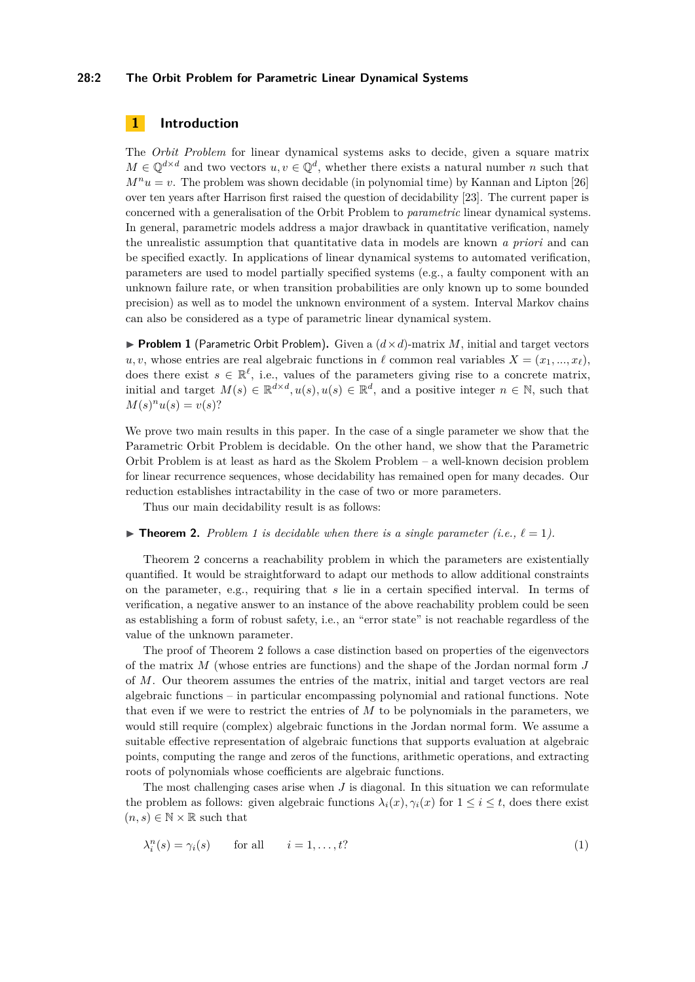#### **28:2 The Orbit Problem for Parametric Linear Dynamical Systems**

## **1 Introduction**

The *Orbit Problem* for linear dynamical systems asks to decide, given a square matrix  $M \in \mathbb{Q}^{d \times d}$  and two vectors  $u, v \in \mathbb{Q}^d$ , whether there exists a natural number *n* such that  $M^n u = v$ . The problem was shown decidable (in polynomial time) by Kannan and Lipton [\[26\]](#page-16-0) over ten years after Harrison first raised the question of decidability [\[23\]](#page-15-0). The current paper is concerned with a generalisation of the Orbit Problem to *parametric* linear dynamical systems. In general, parametric models address a major drawback in quantitative verification, namely the unrealistic assumption that quantitative data in models are known *a priori* and can be specified exactly. In applications of linear dynamical systems to automated verification, parameters are used to model partially specified systems (e.g., a faulty component with an unknown failure rate, or when transition probabilities are only known up to some bounded precision) as well as to model the unknown environment of a system. Interval Markov chains can also be considered as a type of parametric linear dynamical system.

<span id="page-1-0"></span>**• Problem 1** (Parametric Orbit Problem). Given a  $(d \times d)$ -matrix *M*, initial and target vectors  $u, v$ , whose entries are real algebraic functions in  $\ell$  common real variables  $X = (x_1, ..., x_\ell)$ , does there exist  $s \in \mathbb{R}^{\ell}$ , i.e., values of the parameters giving rise to a concrete matrix, initial and target  $M(s) \in \mathbb{R}^{d \times d}$ ,  $u(s)$ ,  $u(s) \in \mathbb{R}^d$ , and a positive integer  $n \in \mathbb{N}$ , such that  $M(s)^n u(s) = v(s)$ ?

We prove two main results in this paper. In the case of a single parameter we show that the Parametric Orbit Problem is decidable. On the other hand, we show that the Parametric Orbit Problem is at least as hard as the Skolem Problem – a well-known decision problem for linear recurrence sequences, whose decidability has remained open for many decades. Our reduction establishes intractability in the case of two or more parameters.

Thus our main decidability result is as follows:

#### <span id="page-1-1"></span> $\blacktriangleright$  **Theorem 2.** Problem [1](#page-1-0) is decidable when there is a single parameter (i.e.,  $\ell = 1$ ).

Theorem [2](#page-1-1) concerns a reachability problem in which the parameters are existentially quantified. It would be straightforward to adapt our methods to allow additional constraints on the parameter, e.g., requiring that *s* lie in a certain specified interval. In terms of verification, a negative answer to an instance of the above reachability problem could be seen as establishing a form of robust safety, i.e., an "error state" is not reachable regardless of the value of the unknown parameter.

The proof of Theorem [2](#page-1-1) follows a case distinction based on properties of the eigenvectors of the matrix *M* (whose entries are functions) and the shape of the Jordan normal form *J* of *M*. Our theorem assumes the entries of the matrix, initial and target vectors are real algebraic functions – in particular encompassing polynomial and rational functions. Note that even if we were to restrict the entries of *M* to be polynomials in the parameters, we would still require (complex) algebraic functions in the Jordan normal form. We assume a suitable effective representation of algebraic functions that supports evaluation at algebraic points, computing the range and zeros of the functions, arithmetic operations, and extracting roots of polynomials whose coefficients are algebraic functions.

The most challenging cases arise when *J* is diagonal. In this situation we can reformulate the problem as follows: given algebraic functions  $\lambda_i(x), \gamma_i(x)$  for  $1 \leq i \leq t$ , does there exist  $(n, s) \in \mathbb{N} \times \mathbb{R}$  such that

<span id="page-1-2"></span>
$$
\lambda_i^n(s) = \gamma_i(s) \qquad \text{for all} \qquad i = 1, \dots, t? \tag{1}
$$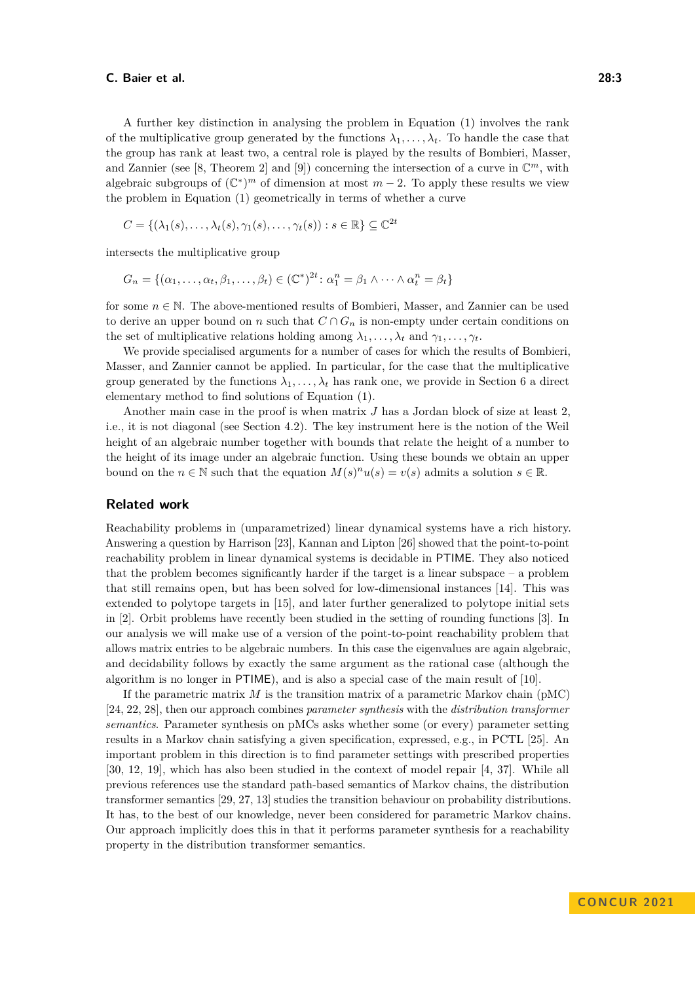A further key distinction in analysing the problem in Equation [\(1\)](#page-1-2) involves the rank of the multiplicative group generated by the functions  $\lambda_1, \ldots, \lambda_t$ . To handle the case that the group has rank at least two, a central role is played by the results of Bombieri, Masser, and Zannier (see [\[8,](#page-15-1) Theorem 2] and [\[9\]](#page-15-2)) concerning the intersection of a curve in  $\mathbb{C}^m$ , with algebraic subgroups of  $(\mathbb{C}^*)^m$  of dimension at most  $m-2$ . To apply these results we view the problem in Equation [\(1\)](#page-1-2) geometrically in terms of whether a curve

$$
C = \{(\lambda_1(s), \dots, \lambda_t(s), \gamma_1(s), \dots, \gamma_t(s)) : s \in \mathbb{R}\} \subseteq \mathbb{C}^{2t}
$$

intersects the multiplicative group

$$
G_n = \{(\alpha_1, \ldots, \alpha_t, \beta_1, \ldots, \beta_t) \in (\mathbb{C}^*)^{2t} : \alpha_1^n = \beta_1 \wedge \cdots \wedge \alpha_t^n = \beta_t\}
$$

for some  $n \in \mathbb{N}$ . The above-mentioned results of Bombieri, Masser, and Zannier can be used to derive an upper bound on *n* such that  $C \cap G_n$  is non-empty under certain conditions on the set of multiplicative relations holding among  $\lambda_1, \ldots, \lambda_t$  and  $\gamma_1, \ldots, \gamma_t$ .

We provide specialised arguments for a number of cases for which the results of Bombieri, Masser, and Zannier cannot be applied. In particular, for the case that the multiplicative group generated by the functions  $\lambda_1, \ldots, \lambda_t$  has rank one, we provide in Section [6](#page-13-0) a direct elementary method to find solutions of Equation [\(1\)](#page-1-2).

Another main case in the proof is when matrix *J* has a Jordan block of size at least 2. i.e., it is not diagonal (see Section [4.2\)](#page-9-0). The key instrument here is the notion of the Weil height of an algebraic number together with bounds that relate the height of a number to the height of its image under an algebraic function. Using these bounds we obtain an upper bound on the  $n \in \mathbb{N}$  such that the equation  $M(s)^n u(s) = v(s)$  admits a solution  $s \in \mathbb{R}$ .

## **Related work**

Reachability problems in (unparametrized) linear dynamical systems have a rich history. Answering a question by Harrison [\[23\]](#page-15-0), Kannan and Lipton [\[26\]](#page-16-0) showed that the point-to-point reachability problem in linear dynamical systems is decidable in PTIME. They also noticed that the problem becomes significantly harder if the target is a linear subspace  $-$  a problem that still remains open, but has been solved for low-dimensional instances [\[14\]](#page-15-3). This was extended to polytope targets in [\[15\]](#page-15-4), and later further generalized to polytope initial sets in [\[2\]](#page-14-0). Orbit problems have recently been studied in the setting of rounding functions [\[3\]](#page-14-1). In our analysis we will make use of a version of the point-to-point reachability problem that allows matrix entries to be algebraic numbers. In this case the eigenvalues are again algebraic, and decidability follows by exactly the same argument as the rational case (although the algorithm is no longer in PTIME), and is also a special case of the main result of [\[10\]](#page-15-5).

If the parametric matrix  $M$  is the transition matrix of a parametric Markov chain ( $\text{pMC}$ ) [\[24,](#page-16-1) [22,](#page-15-6) [28\]](#page-16-2), then our approach combines *parameter synthesis* with the *distribution transformer semantics*. Parameter synthesis on pMCs asks whether some (or every) parameter setting results in a Markov chain satisfying a given specification, expressed, e.g., in PCTL [\[25\]](#page-16-3). An important problem in this direction is to find parameter settings with prescribed properties [\[30,](#page-16-4) [12,](#page-15-7) [19\]](#page-15-8), which has also been studied in the context of model repair [\[4,](#page-14-2) [37\]](#page-16-5). While all previous references use the standard path-based semantics of Markov chains, the distribution transformer semantics [\[29,](#page-16-6) [27,](#page-16-7) [13\]](#page-15-9) studies the transition behaviour on probability distributions. It has, to the best of our knowledge, never been considered for parametric Markov chains. Our approach implicitly does this in that it performs parameter synthesis for a reachability property in the distribution transformer semantics.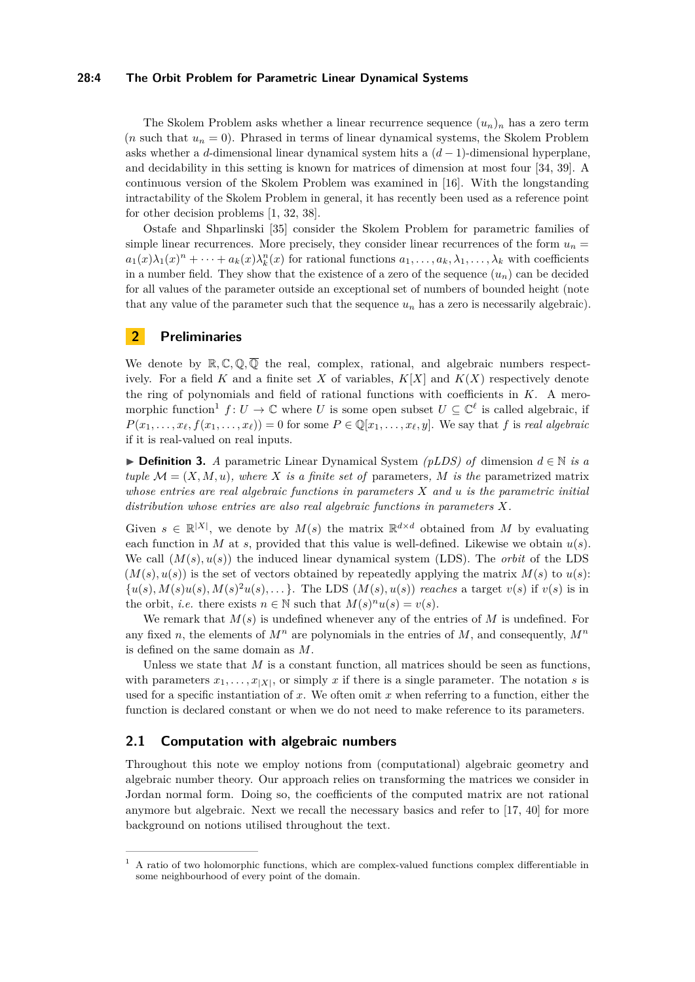#### **28:4 The Orbit Problem for Parametric Linear Dynamical Systems**

The Skolem Problem asks whether a linear recurrence sequence  $(u_n)_n$  has a zero term (*n* such that  $u_n = 0$ ). Phrased in terms of linear dynamical systems, the Skolem Problem asks whether a *d*-dimensional linear dynamical system hits a (*d* − 1)-dimensional hyperplane, and decidability in this setting is known for matrices of dimension at most four [\[34,](#page-16-8) [39\]](#page-16-9). A continuous version of the Skolem Problem was examined in [\[16\]](#page-15-10). With the longstanding intractability of the Skolem Problem in general, it has recently been used as a reference point for other decision problems [\[1,](#page-14-3) [32,](#page-16-10) [38\]](#page-16-11).

Ostafe and Shparlinski [\[35\]](#page-16-12) consider the Skolem Problem for parametric families of simple linear recurrences. More precisely, they consider linear recurrences of the form  $u_n =$  $a_1(x)\lambda_1(x)^n + \cdots + a_k(x)\lambda_k^n(x)$  for rational functions  $a_1, \ldots, a_k, \lambda_1, \ldots, \lambda_k$  with coefficients in a number field. They show that the existence of a zero of the sequence  $(u_n)$  can be decided for all values of the parameter outside an exceptional set of numbers of bounded height (note that any value of the parameter such that the sequence  $u_n$  has a zero is necessarily algebraic).

## **2 Preliminaries**

We denote by  $\mathbb{R}, \mathbb{C}, \mathbb{Q}, \overline{\mathbb{Q}}$  the real, complex, rational, and algebraic numbers respectively. For a field *K* and a finite set *X* of variables,  $K[X]$  and  $K(X)$  respectively denote the ring of polynomials and field of rational functions with coefficients in *K*. A mero-morphic function<sup>[1](#page-3-0)</sup>  $f: U \to \mathbb{C}$  where *U* is some open subset  $U \subseteq \mathbb{C}^{\ell}$  is called algebraic, if  $P(x_1, \ldots, x_\ell, f(x_1, \ldots, x_\ell)) = 0$  for some  $P \in \mathbb{Q}[x_1, \ldots, x_\ell, y]$ . We say that *f* is *real algebraic* if it is real-valued on real inputs.

▶ **Definition 3.** *A* parametric Linear Dynamical System *(pLDS) of* dimension *d* ∈ N *is a tuple*  $\mathcal{M} = (X, M, u)$ *, where X is a finite set of* parameters*, M is the* parametrized matrix *whose entries are real algebraic functions in parameters X and u is the parametric initial distribution whose entries are also real algebraic functions in parameters X.*

Given  $s \in \mathbb{R}^{|X|}$ , we denote by  $M(s)$  the matrix  $\mathbb{R}^{d \times d}$  obtained from M by evaluating each function in *M* at *s*, provided that this value is well-defined. Likewise we obtain  $u(s)$ . We call  $(M(s), u(s))$  the induced linear dynamical system (LDS). The *orbit* of the LDS  $(M(s), u(s))$  is the set of vectors obtained by repeatedly applying the matrix  $M(s)$  to  $u(s)$ :  $\{u(s), M(s)u(s), M(s)^2u(s), \ldots\}$ . The LDS  $(M(s), u(s))$  reaches a target  $v(s)$  if  $v(s)$  is in the orbit, *i.e.* there exists  $n \in \mathbb{N}$  such that  $M(s)^n u(s) = v(s)$ .

We remark that *M*(*s*) is undefined whenever any of the entries of *M* is undefined. For any fixed *n*, the elements of  $M^n$  are polynomials in the entries of M, and consequently,  $M^n$ is defined on the same domain as *M*.

Unless we state that  $M$  is a constant function, all matrices should be seen as functions, with parameters  $x_1, \ldots, x_{|X|}$ , or simply  $x$  if there is a single parameter. The notation  $s$  is used for a specific instantiation of *x*. We often omit *x* when referring to a function, either the function is declared constant or when we do not need to make reference to its parameters.

#### **2.1 Computation with algebraic numbers**

Throughout this note we employ notions from (computational) algebraic geometry and algebraic number theory. Our approach relies on transforming the matrices we consider in Jordan normal form. Doing so, the coefficients of the computed matrix are not rational anymore but algebraic. Next we recall the necessary basics and refer to [\[17,](#page-15-11) [40\]](#page-16-13) for more background on notions utilised throughout the text.

<span id="page-3-0"></span><sup>1</sup> A ratio of two holomorphic functions, which are complex-valued functions complex differentiable in some neighbourhood of every point of the domain.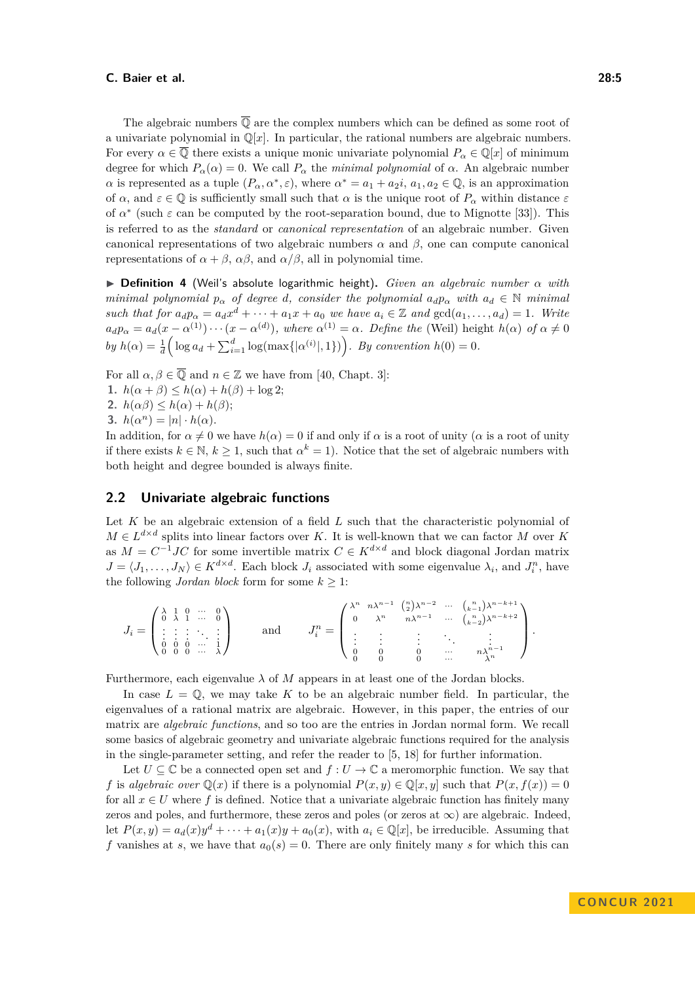The algebraic numbers  $\overline{Q}$  are the complex numbers which can be defined as some root of a univariate polynomial in  $\mathbb{Q}[x]$ . In particular, the rational numbers are algebraic numbers. For every  $\alpha \in \overline{Q}$  there exists a unique monic univariate polynomial  $P_{\alpha} \in \mathbb{Q}[x]$  of minimum degree for which  $P_\alpha(\alpha) = 0$ . We call  $P_\alpha$  the *minimal polynomial* of  $\alpha$ . An algebraic number *α* is represented as a tuple  $(P_\alpha, \alpha^*, \varepsilon)$ , where  $\alpha^* = a_1 + a_2i$ ,  $a_1, a_2 \in \mathbb{Q}$ , is an approximation of  $\alpha$ , and  $\varepsilon \in \mathbb{Q}$  is sufficiently small such that  $\alpha$  is the unique root of  $P_\alpha$  within distance  $\varepsilon$ of  $\alpha^*$  (such  $\varepsilon$  can be computed by the root-separation bound, due to Mignotte [\[33\]](#page-16-14)). This is referred to as the *standard* or *canonical representation* of an algebraic number. Given canonical representations of two algebraic numbers *α* and *β*, one can compute canonical representations of  $\alpha + \beta$ ,  $\alpha\beta$ , and  $\alpha/\beta$ , all in polynomial time.

▶ **Definition 4** (Weil's absolute logarithmic height)**.** *Given an algebraic number α with minimal polynomial*  $p_{\alpha}$  *of degree d, consider the polynomial*  $a_d p_{\alpha}$  *with*  $a_d \in \mathbb{N}$  *minimal* such that for  $a_d p_\alpha = a_d x^d + \cdots + a_1 x + a_0$  we have  $a_i \in \mathbb{Z}$  and  $gcd(a_1, \ldots, a_d) = 1$ . Write  $a_d p_\alpha = a_d(x - \alpha^{(1)}) \cdots (x - \alpha^{(d)})$ , where  $\alpha^{(1)} = \alpha$ . Define the (Weil) height  $h(\alpha)$  of  $\alpha \neq 0$  $by h(\alpha) = \frac{1}{d} \Big( \log a_d + \sum_{i=1}^d \log(\max\{|\alpha^{(i)}|, 1\}) \Big)$ . By convention  $h(0) = 0$ .

For all  $\alpha, \beta \in \overline{Q}$  and  $n \in \mathbb{Z}$  we have from [\[40,](#page-16-13) Chapt. 3]:

**1.**  $h(\alpha + \beta) \leq h(\alpha) + h(\beta) + \log 2;$ 

2.  $h(\alpha\beta) \leq h(\alpha) + h(\beta);$ 

**3.**  $h(\alpha^n) = |n| \cdot h(\alpha)$ .

In addition, for  $\alpha \neq 0$  we have  $h(\alpha) = 0$  if and only if  $\alpha$  is a root of unity ( $\alpha$  is a root of unity if there exists  $k \in \mathbb{N}$ ,  $k \geq 1$ , such that  $\alpha^k = 1$ ). Notice that the set of algebraic numbers with both height and degree bounded is always finite.

#### **2.2 Univariate algebraic functions**

Let *K* be an algebraic extension of a field *L* such that the characteristic polynomial of  $M \in L^{d \times d}$  splits into linear factors over *K*. It is well-known that we can factor *M* over *K* as  $M = C^{-1}JC$  for some invertible matrix  $C \in K^{d \times d}$  and block diagonal Jordan matrix  $J = \langle J_1, \ldots, J_N \rangle \in K^{d \times d}$ . Each block  $J_i$  associated with some eigenvalue  $\lambda_i$ , and  $J_i^n$ , have the following *Jordan block* form for some  $k \geq 1$ :

$$
J_i = \begin{pmatrix} \lambda & 1 & 0 & \cdots & 0 \\ 0 & \lambda & 1 & \cdots & 0 \\ \vdots & \vdots & \vdots & \ddots & \vdots \\ 0 & 0 & 0 & \cdots & 1 \\ 0 & 0 & 0 & \cdots & \lambda \end{pmatrix} \qquad \text{and} \qquad J_i^n = \begin{pmatrix} \lambda^n & n\lambda^{n-1} & \binom{n}{2}\lambda^{n-2} & \cdots & \binom{n}{k-1}\lambda^{n-k+1} \\ 0 & \lambda^n & n\lambda^{n-1} & \cdots & \binom{n}{k-2}\lambda^{n-k+2} \\ \vdots & \vdots & \vdots & \ddots & \vdots \\ 0 & 0 & 0 & \cdots & n\lambda^{n-1} \\ 0 & 0 & 0 & \cdots & \lambda^n \end{pmatrix}.
$$

Furthermore, each eigenvalue  $\lambda$  of  $M$  appears in at least one of the Jordan blocks.

In case  $L = \mathbb{Q}$ , we may take K to be an algebraic number field. In particular, the eigenvalues of a rational matrix are algebraic. However, in this paper, the entries of our matrix are *algebraic functions*, and so too are the entries in Jordan normal form. We recall some basics of algebraic geometry and univariate algebraic functions required for the analysis in the single-parameter setting, and refer the reader to [\[5,](#page-14-4) [18\]](#page-15-12) for further information.

Let  $U \subseteq \mathbb{C}$  be a connected open set and  $f: U \to \mathbb{C}$  a meromorphic function. We say that *f* is *algebraic over*  $\mathbb{Q}(x)$  if there is a polynomial  $P(x, y) \in \mathbb{Q}[x, y]$  such that  $P(x, f(x)) = 0$ for all  $x \in U$  where f is defined. Notice that a univariate algebraic function has finitely many zeros and poles, and furthermore, these zeros and poles (or zeros at  $\infty$ ) are algebraic. Indeed, let  $P(x, y) = a_d(x)y^d + \cdots + a_1(x)y + a_0(x)$ , with  $a_i \in \mathbb{Q}[x]$ , be irreducible. Assuming that *f* vanishes at *s*, we have that  $a_0(s) = 0$ . There are only finitely many *s* for which this can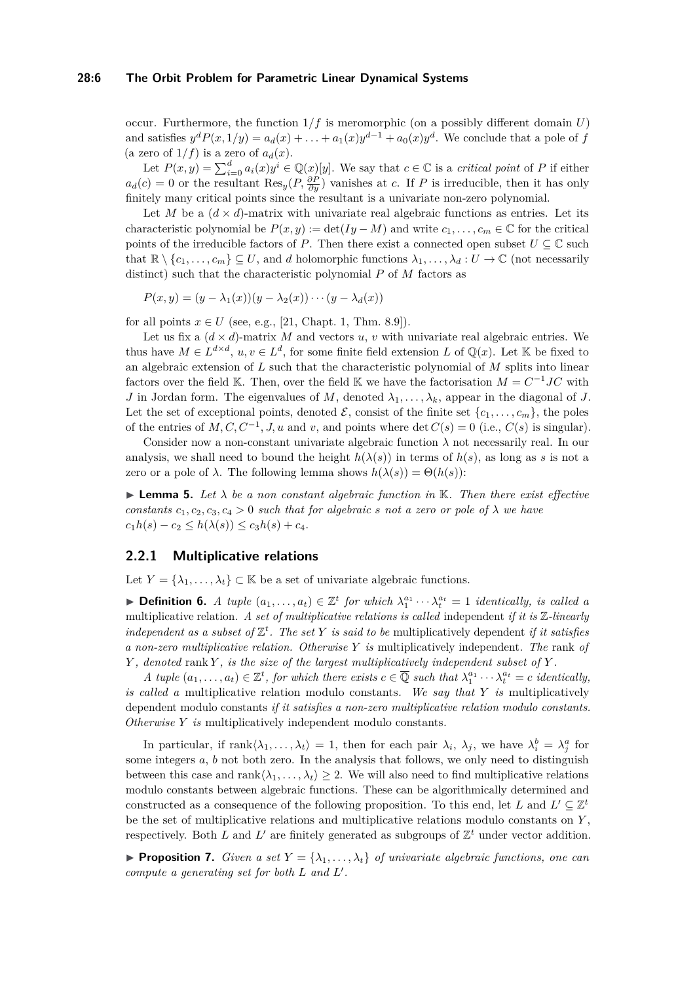#### **28:6 The Orbit Problem for Parametric Linear Dynamical Systems**

occur. Furthermore, the function  $1/f$  is meromorphic (on a possibly different domain  $U$ ) and satisfies  $y^d P(x, 1/y) = a_d(x) + \ldots + a_1(x)y^{d-1} + a_0(x)y^d$ . We conclude that a pole of *f* (a zero of  $1/f$ ) is a zero of  $a_d(x)$ .

Let  $P(x, y) = \sum_{i=0}^{d} a_i(x)y^i \in \mathbb{Q}(x)[y]$ . We say that  $c \in \mathbb{C}$  is a *critical point* of *P* if either  $a_d(c) = 0$  or the resultant  $\text{Res}_y(P, \frac{\partial P}{\partial y})$  vanishes at *c*. If *P* is irreducible, then it has only finitely many critical points since the resultant is a univariate non-zero polynomial.

Let *M* be a  $(d \times d)$ -matrix with univariate real algebraic functions as entries. Let its characteristic polynomial be  $P(x, y) := \det(Iy - M)$  and write  $c_1, \ldots, c_m \in \mathbb{C}$  for the critical points of the irreducible factors of *P*. Then there exist a connected open subset  $U \subseteq \mathbb{C}$  such that  $\mathbb{R} \setminus \{c_1, \ldots, c_m\} \subseteq U$ , and *d* holomorphic functions  $\lambda_1, \ldots, \lambda_d : U \to \mathbb{C}$  (not necessarily distinct) such that the characteristic polynomial *P* of *M* factors as

$$
P(x,y) = (y - \lambda_1(x))(y - \lambda_2(x)) \cdots (y - \lambda_d(x))
$$

for all points  $x \in U$  (see, e.g., [\[21,](#page-15-13) Chapt. 1, Thm. 8.9]).

Let us fix a  $(d \times d)$ -matrix *M* and vectors *u*, *v* with univariate real algebraic entries. We thus have  $M \in L^{d \times d}$ ,  $u, v \in L^d$ , for some finite field extension *L* of  $\mathbb{Q}(x)$ . Let K be fixed to an algebraic extension of *L* such that the characteristic polynomial of *M* splits into linear factors over the field K. Then, over the field K we have the factorisation  $M = C^{-1}JC$  with *J* in Jordan form. The eigenvalues of *M*, denoted  $\lambda_1, \ldots, \lambda_k$ , appear in the diagonal of *J*. Let the set of exceptional points, denoted  $\mathcal{E}$ , consist of the finite set  $\{c_1, \ldots, c_m\}$ , the poles of the entries of  $M, C, C^{-1}, J, u$  and  $v$ , and points where det  $C(s) = 0$  (i.e.,  $C(s)$  is singular).

Consider now a non-constant univariate algebraic function  $\lambda$  not necessarily real. In our analysis, we shall need to bound the height  $h(\lambda(s))$  in terms of  $h(s)$ , as long as *s* is not a zero or a pole of  $\lambda$ . The following lemma shows  $h(\lambda(s)) = \Theta(h(s))$ :

<span id="page-5-1"></span> $\triangleright$  **Lemma 5.** Let  $\lambda$  be a non constant algebraic function in K. Then there exist effective *constants*  $c_1, c_2, c_3, c_4 > 0$  *such that for algebraic s not a zero or pole of*  $\lambda$  *we have*  $c_1h(s) - c_2 \leq h(\lambda(s)) \leq c_3h(s) + c_4.$ 

### **2.2.1 Multiplicative relations**

Let  $Y = \{\lambda_1, \ldots, \lambda_t\} \subset \mathbb{K}$  be a set of univariate algebraic functions.

<span id="page-5-0"></span>**• Definition 6.** *A tuple*  $(a_1, \ldots, a_t) \in \mathbb{Z}^t$  *for which*  $\lambda_1^{a_1} \cdots \lambda_t^{a_t} = 1$  *identically, is called a* multiplicative relation. A set of multiplicative relations is called independent *if it is* Z-linearly *independent as a subset of*  $\mathbb{Z}^t$ *. The set Y is said to be* multiplicatively dependent *if it satisfies a non-zero multiplicative relation. Otherwise Y is* multiplicatively independent*. The* rank *of Y , denoted* rank *Y , is the size of the largest multiplicatively independent subset of Y .*

*A*  $tuple (a_1, \ldots, a_t) \in \mathbb{Z}^t$ , for which there exists  $c \in \overline{\mathbb{Q}}$  such that  $\lambda_1^{a_1} \cdots \lambda_t^{a_t} = c$  identically, *is called a* multiplicative relation modulo constants*. We say that Y is* multiplicatively dependent modulo constants *if it satisfies a non-zero multiplicative relation modulo constants. Otherwise Y is* multiplicatively independent modulo constants*.*

In particular, if  $\text{rank}\langle \lambda_1,\ldots,\lambda_t \rangle = 1$ , then for each pair  $\lambda_i$ ,  $\lambda_j$ , we have  $\lambda_i^b = \lambda_j^a$  for some integers *a*, *b* not both zero. In the analysis that follows, we only need to distinguish between this case and rank $\langle \lambda_1, \ldots, \lambda_t \rangle \geq 2$ . We will also need to find multiplicative relations modulo constants between algebraic functions. These can be algorithmically determined and constructed as a consequence of the following proposition. To this end, let *L* and  $L' \subseteq \mathbb{Z}^t$ be the set of multiplicative relations and multiplicative relations modulo constants on *Y* , respectively. Both *L* and  $L'$  are finitely generated as subgroups of  $\mathbb{Z}^t$  under vector addition.

**• Proposition 7.** *Given a set*  $Y = \{\lambda_1, \ldots, \lambda_t\}$  *of univariate algebraic functions, one can compute a generating set for both L and L* ′ *.*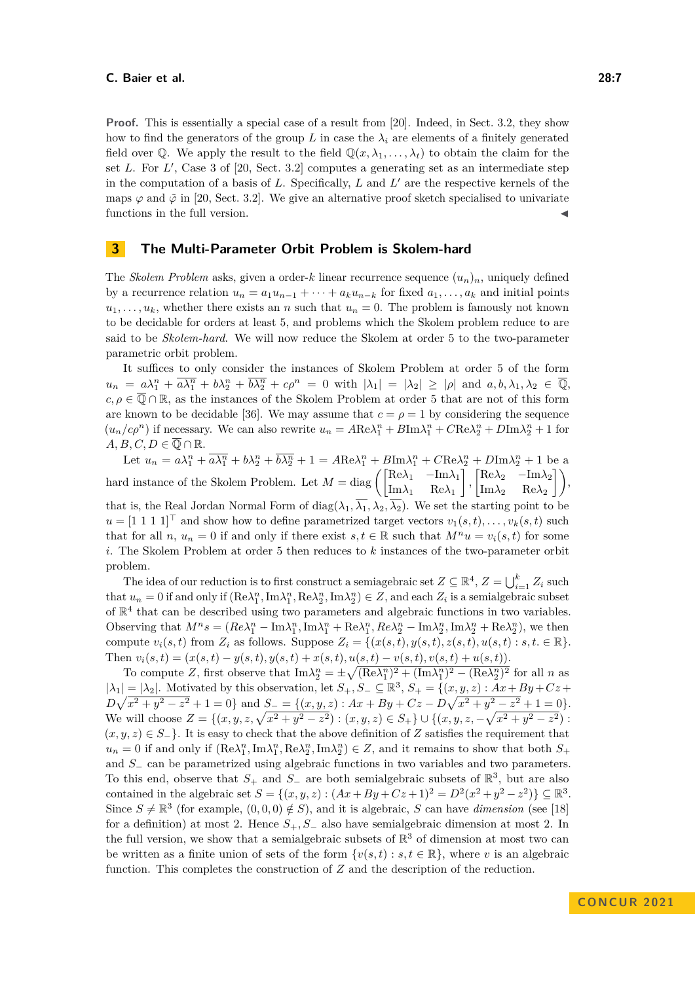**Proof.** This is essentially a special case of a result from [\[20\]](#page-15-14). Indeed, in Sect. 3.2, they show how to find the generators of the group L in case the  $\lambda_i$  are elements of a finitely generated field over  $\mathbb{Q}$ . We apply the result to the field  $\mathbb{Q}(x, \lambda_1, \ldots, \lambda_t)$  to obtain the claim for the set *L*. For *L'*, Case 3 of [\[20,](#page-15-14) Sect. 3.2] computes a generating set as an intermediate step in the computation of a basis of  $L$ . Specifically,  $L$  and  $L'$  are the respective kernels of the maps  $\varphi$  and  $\tilde{\varphi}$  in [\[20,](#page-15-14) Sect. 3.2]. We give an alternative proof sketch specialised to univariate functions in the full version.

## **3 The Multi-Parameter Orbit Problem is Skolem-hard**

The *Skolem Problem* asks, given a order-*k* linear recurrence sequence  $(u_n)_n$ , uniquely defined by a recurrence relation  $u_n = a_1 u_{n-1} + \cdots + a_k u_{n-k}$  for fixed  $a_1, \ldots, a_k$  and initial points  $u_1, \ldots, u_k$ , whether there exists an *n* such that  $u_n = 0$ . The problem is famously not known to be decidable for orders at least 5, and problems which the Skolem problem reduce to are said to be *Skolem-hard*. We will now reduce the Skolem at order 5 to the two-parameter parametric orbit problem.

It suffices to only consider the instances of Skolem Problem at order 5 of the form  $u_n = a\lambda_1^n + \overline{a\lambda_1^n} + b\lambda_2^n + \overline{b\lambda_2^n} + c\rho^n = 0$  with  $|\lambda_1| = |\lambda_2| \geq |\rho|$  and  $a, b, \lambda_1, \lambda_2 \in \overline{\mathbb{Q}},$  $c, \rho \in \overline{Q} \cap \mathbb{R}$ , as the instances of the Skolem Problem at order 5 that are not of this form are known to be decidable [\[36\]](#page-16-15). We may assume that  $c = \rho = 1$  by considering the sequence  $(u_n/c\rho^n)$  if necessary. We can also rewrite  $u_n = ARe\lambda_1^n + BIm\lambda_1^n + CRe\lambda_2^n + DIm\lambda_2^n + 1$  for  $A, B, C, D \in \overline{\mathbb{Q}} \cap \mathbb{R}.$ 

Let  $u_n = a\lambda_1^n + \overline{a\lambda_1^n} + b\lambda_2^n + \overline{b\lambda_2^n} + 1 = A\text{Re}\lambda_1^n + B\text{Im}\lambda_1^n + C\text{Re}\lambda_2^n + D\text{Im}\lambda_2^n + 1$  be a hard instance of the Skolem Problem. Let  $M = \text{diag}\left(\begin{bmatrix} \text{Re}\lambda_1 & -\text{Im}\lambda_1 \\ \text{Im}\lambda_1 & \text{Re}\lambda_1 \end{bmatrix}\right)$  $\begin{bmatrix} \text{Re}\lambda_2 & -\text{Im}\lambda_2 \\ \text{Im}\lambda_2 & \text{Im}\lambda_2 \end{bmatrix}$  $\begin{bmatrix} \mathrm{Re}\lambda_2 & -\mathrm{Im}\lambda_2\ \mathrm{Im}\lambda_2 & \mathrm{Re}\lambda_2 \end{bmatrix}\bigg),$ that is, the Real Jordan Normal Form of diag( $\lambda_1$ ,  $\overline{\lambda_1}$ ,  $\lambda_2$ ,  $\overline{\lambda_2}$ ). We set the starting point to be *u* = [1 1 1 1]<sup>⊤</sup> and show how to define parametrized target vectors  $v_1(s,t), \ldots, v_k(s,t)$  such that for all *n*,  $u_n = 0$  if and only if there exist  $s, t \in \mathbb{R}$  such that  $M^n u = v_i(s, t)$  for some *i*. The Skolem Problem at order 5 then reduces to *k* instances of the two-parameter orbit problem.

The idea of our reduction is to first construct a semiagebraic set  $Z \subseteq \mathbb{R}^4$ ,  $Z = \bigcup_{i=1}^k Z_i$  such that  $u_n = 0$  if and only if  $(Re\lambda_1^n, Im\lambda_1^n, Re\lambda_2^n, Im\lambda_2^n) \in Z$ , and each  $Z_i$  is a semialgebraic subset of  $\mathbb{R}^4$  that can be described using two parameters and algebraic functions in two variables. Observing that  $M^n s = (Re\lambda_1^n - Im\lambda_1^n, Im\lambda_1^n + Re\lambda_1^n, Re\lambda_2^n - Im\lambda_2^n, Im\lambda_2^n + Re\lambda_2^n)$ , we then compute  $v_i(s, t)$  from  $Z_i$  as follows. Suppose  $Z_i = \{(x(s, t), y(s, t), z(s, t), u(s, t) : s, t \in \mathbb{R}\}.$ Then  $v_i(s,t) = (x(s,t) - y(s,t), y(s,t) + x(s,t), u(s,t) - v(s,t), v(s,t) + u(s,t)).$ 

To compute *Z*, first observe that  $\text{Im}\lambda_2^n = \pm \sqrt{(\text{Re}\lambda_1^n)^2 + (\text{Im}\lambda_1^n)^2 - (\text{Re}\lambda_2^n)^2}$  for all *n* as  $|\lambda_1| = |\lambda_2|$ . Motivated by this observation, let  $S_+, S_- \subseteq \mathbb{R}^3$ ,  $S_+ = \{(x, y, z) : Ax + By + Cz +$  $D\sqrt{x^2 + y^2 - z^2} + 1 = 0$ } and  $S = \{(x, y, z) : Ax + By + Cz - D\sqrt{x^2 + y^2 - z^2} + 1 = 0\}.$ We will choose  $Z = \{(x, y, z, \sqrt{x^2 + y^2 - z^2}) : (x, y, z) \in S_+\} \cup \{(x, y, z, -\sqrt{x^2 + y^2 - z^2}) : (x, y, z) \in S_+\}$  $(x, y, z) \in S_-\}.$  It is easy to check that the above definition of *Z* satisfies the requirement that  $u_n = 0$  if and only if  $(Re\lambda_1^n, Im\lambda_1^n, Re\lambda_2^n, Im\lambda_2^n) \in Z$ , and it remains to show that both  $S_+$ and *S*<sup>−</sup> can be parametrized using algebraic functions in two variables and two parameters. To this end, observe that  $S_+$  and  $S_-$  are both semialgebraic subsets of  $\mathbb{R}^3$ , but are also contained in the algebraic set  $S = \{(x, y, z) : (Ax + By + Cz + 1)^2 = D^2(x^2 + y^2 - z^2) \} \subseteq \mathbb{R}^3$ . Since  $S \neq \mathbb{R}^3$  (for example,  $(0,0,0) \notin S$ ), and it is algebraic, *S* can have *dimension* (see [\[18\]](#page-15-12) for a definition) at most 2. Hence *S*+*, S*<sup>−</sup> also have semialgebraic dimension at most 2. In the full version, we show that a semialgebraic subsets of  $\mathbb{R}^3$  of dimension at most two can be written as a finite union of sets of the form  $\{v(s,t) : s, t \in \mathbb{R}\}$ , where *v* is an algebraic function. This completes the construction of *Z* and the description of the reduction.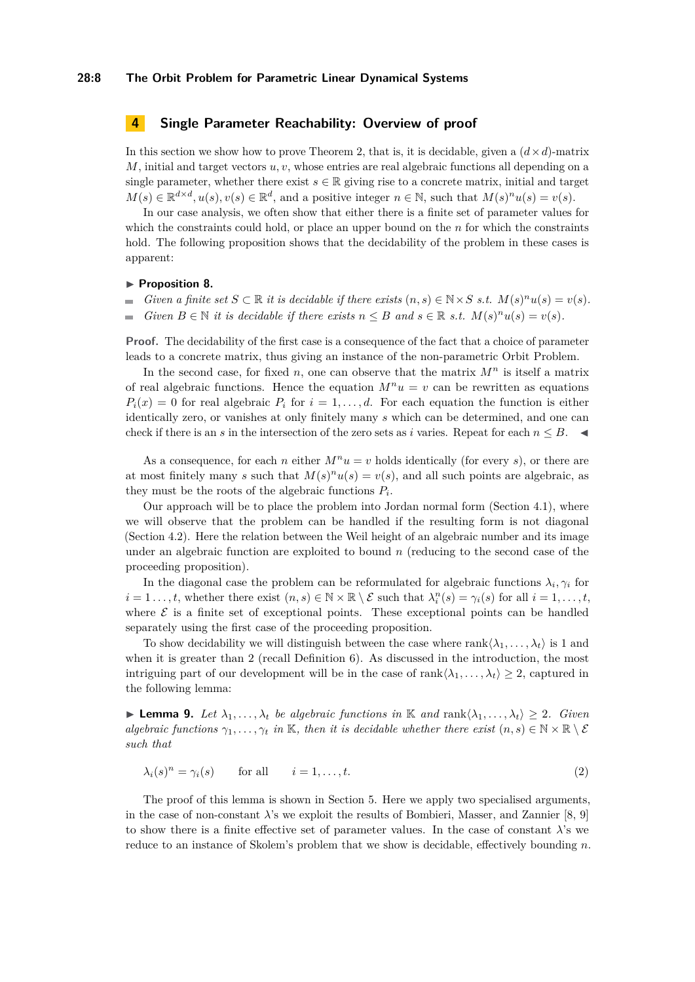#### **28:8 The Orbit Problem for Parametric Linear Dynamical Systems**

## **4 Single Parameter Reachability: Overview of proof**

In this section we show how to prove [Theorem 2,](#page-1-1) that is, it is decidable, given a  $(d \times d)$ -matrix  $M$ , initial and target vectors  $u, v$ , whose entries are real algebraic functions all depending on a single parameter, whether there exist  $s \in \mathbb{R}$  giving rise to a concrete matrix, initial and target  $M(s) \in \mathbb{R}^{d \times d}, u(s), v(s) \in \mathbb{R}^d$ , and a positive integer  $n \in \mathbb{N}$ , such that  $M(s)^n u(s) = v(s)$ .

In our case analysis, we often show that either there is a finite set of parameter values for which the constraints could hold, or place an upper bound on the *n* for which the constraints hold. The following proposition shows that the decidability of the problem in these cases is apparent:

#### <span id="page-7-1"></span>▶ **Proposition 8.**

*Given a finite set*  $S \subset \mathbb{R}$  *it is decidable if there exists*  $(n, s) \in \mathbb{N} \times S$  *s.t.*  $M(s)^n u(s) = v(s)$ *.*  $\blacksquare$ *Given*  $B \in \mathbb{N}$  *it is decidable if there exists*  $n \leq B$  *and*  $s \in \mathbb{R}$  *s.t.*  $M(s)^n u(s) = v(s)$ *.* 

**Proof.** The decidability of the first case is a consequence of the fact that a choice of parameter leads to a concrete matrix, thus giving an instance of the non-parametric Orbit Problem.

In the second case, for fixed  $n$ , one can observe that the matrix  $M^n$  is itself a matrix of real algebraic functions. Hence the equation  $M^n u = v$  can be rewritten as equations  $P_i(x) = 0$  for real algebraic  $P_i$  for  $i = 1, \ldots, d$ . For each equation the function is either identically zero, or vanishes at only finitely many *s* which can be determined, and one can check if there is an *s* in the intersection of the zero sets as *i* varies. Repeat for each  $n \leq B$ .

As a consequence, for each *n* either  $M^n u = v$  holds identically (for every *s*), or there are at most finitely many *s* such that  $M(s)^nu(s) = v(s)$ , and all such points are algebraic, as they must be the roots of the algebraic functions  $P_i$ .

Our approach will be to place the problem into Jordan normal form (Section [4.1\)](#page-8-0), where we will observe that the problem can be handled if the resulting form is not diagonal (Section [4.2\)](#page-9-0). Here the relation between the Weil height of an algebraic number and its image under an algebraic function are exploited to bound *n* (reducing to the second case of the proceeding proposition).

In the diagonal case the problem can be reformulated for algebraic functions  $\lambda_i, \gamma_i$  for  $i = 1, \ldots, t$ , whether there exist  $(n, s) \in \mathbb{N} \times \mathbb{R} \setminus \mathcal{E}$  such that  $\lambda_i^n(s) = \gamma_i(s)$  for all  $i = 1, \ldots, t$ , where  $\mathcal E$  is a finite set of exceptional points. These exceptional points can be handled separately using the first case of the proceeding proposition.

To show decidability we will distinguish between the case where  $rank(\lambda_1, \ldots, \lambda_t)$  is 1 and when it is greater than 2 (recall Definition [6\)](#page-5-0). As discussed in the introduction, the most intriguing part of our development will be in the case of rank $\langle \lambda_1, \ldots, \lambda_t \rangle \geq 2$ , captured in the following lemma:

<span id="page-7-0"></span>**► Lemma 9.** Let  $\lambda_1, \ldots, \lambda_t$  be algebraic functions in K and rank $\langle \lambda_1, \ldots, \lambda_t \rangle$  ≥ 2*.* Given *algebraic functions*  $\gamma_1, \ldots, \gamma_t$  *in* K, then *it is decidable whether there exist*  $(n, s) \in \mathbb{N} \times \mathbb{R} \setminus \mathcal{E}$ *such that*

<span id="page-7-2"></span>
$$
\lambda_i(s)^n = \gamma_i(s) \qquad \text{for all} \qquad i = 1, \dots, t. \tag{2}
$$

The proof of this lemma is shown in Section [5.](#page-11-0) Here we apply two specialised arguments, in the case of non-constant  $\lambda$ 's we exploit the results of Bombieri, Masser, and Zannier [\[8,](#page-15-1) [9\]](#page-15-2) to show there is a finite effective set of parameter values. In the case of constant  $\lambda$ 's we reduce to an instance of Skolem's problem that we show is decidable, effectively bounding *n*.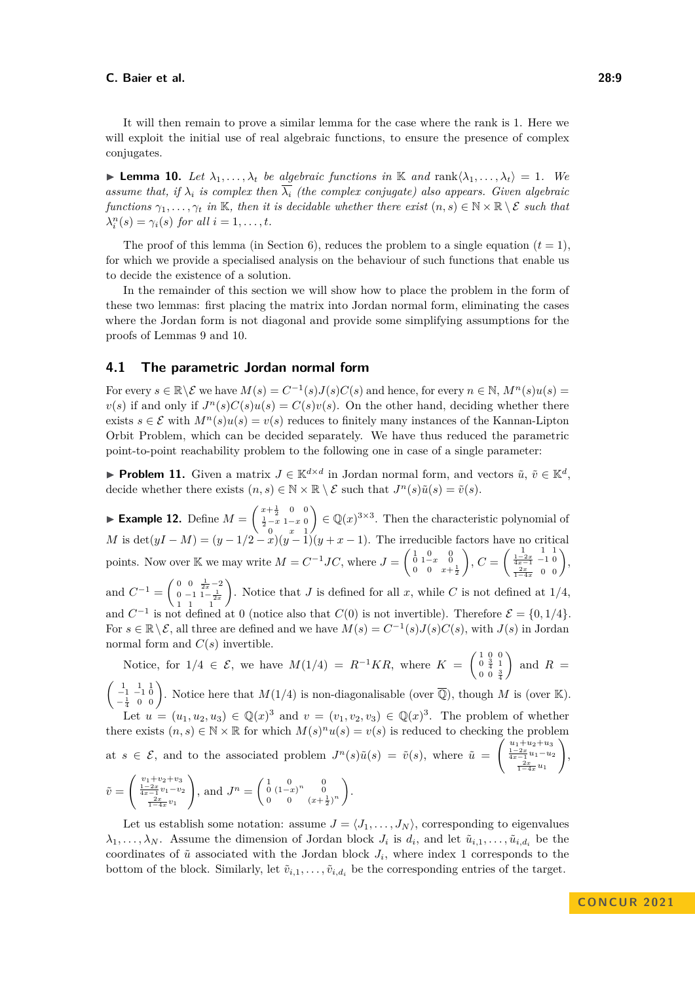It will then remain to prove a similar lemma for the case where the rank is 1. Here we will exploit the initial use of real algebraic functions, to ensure the presence of complex conjugates.

<span id="page-8-1"></span>**► Lemma 10.** Let  $\lambda_1, \ldots, \lambda_t$  be algebraic functions in K and rank $\langle \lambda_1, \ldots, \lambda_t \rangle = 1$ . We *assume that, if*  $\lambda_i$  *is complex then*  $\overline{\lambda_i}$  *(the complex conjugate) also appears. Given algebraic functions*  $\gamma_1, \ldots, \gamma_t$  *in* K*, then it is decidable whether there exist*  $(n, s) \in \mathbb{N} \times \mathbb{R} \setminus \mathcal{E}$  *such that*  $\lambda_i^n(s) = \gamma_i(s)$  *for all*  $i = 1, \ldots, t$ *.* 

The proof of this lemma (in Section [6\)](#page-13-0), reduces the problem to a single equation  $(t = 1)$ , for which we provide a specialised analysis on the behaviour of such functions that enable us to decide the existence of a solution.

In the remainder of this section we will show how to place the problem in the form of these two lemmas: first placing the matrix into Jordan normal form, eliminating the cases where the Jordan form is not diagonal and provide some simplifying assumptions for the proofs of Lemmas [9](#page-7-0) and [10.](#page-8-1)

## <span id="page-8-0"></span>**4.1 The parametric Jordan normal form**

For every  $s \in \mathbb{R} \setminus \mathcal{E}$  we have  $M(s) = C^{-1}(s)J(s)C(s)$  and hence, for every  $n \in \mathbb{N}$ ,  $M^n(s)u(s) =$  $v(s)$  if and only if  $J^n(s)C(s)u(s) = C(s)v(s)$ . On the other hand, deciding whether there exists  $s \in \mathcal{E}$  with  $M^n(s)u(s) = v(s)$  reduces to finitely many instances of the Kannan-Lipton Orbit Problem, which can be decided separately. We have thus reduced the parametric point-to-point reachability problem to the following one in case of a single parameter:

<span id="page-8-2"></span>▶ **Problem 11.** Given a matrix  $J \in \mathbb{K}^{d \times d}$  in Jordan normal form, and vectors  $\tilde{u}, \tilde{v} \in \mathbb{K}^d$ , decide whether there exists  $(n, s) \in \mathbb{N} \times \mathbb{R} \setminus \mathcal{E}$  such that  $J^n(s)\tilde{u}(s) = \tilde{v}(s)$ .

▶ **Example 12.** Define  $M = \begin{pmatrix} x + \frac{1}{2} & 0 & 0 \\ \frac{1}{2} - x & 1 - x & 0 \\ 0 & x & 1 \end{pmatrix}$  $\Big( \in \mathbb{Q}(x)^{3 \times 3}$ . Then the characteristic polynomial of *M* is det $(yI - M) = (y - 1/2 - x)(y - 1)(y + x - 1)$ . The irreducible factors have no critical points. Now over K we may write  $M = C^{-1}JC$ , where  $J = \begin{pmatrix} 1 & 0 & 0 \\ 0 & 1-x & 0 \\ 0 & 0 & x+\frac{1}{2} \end{pmatrix}$  $\bigg), C = \left(\begin{array}{cc} 1 & 1 & 1 \\ \frac{1-2x}{4x-1} & -1 & 0 \\ \frac{2x}{1-4x} & 0 & 0 \end{array}\right),$ and  $C^{-1} = \begin{pmatrix} 0 & 0 & \frac{1}{2x} - 2 \\ 0 & -1 & 1 - \frac{1}{2x} \\ 1 & 1 & 1 \end{pmatrix}$ ). Notice that *J* is defined for all *x*, while *C* is not defined at  $1/4$ , and  $C^{-1}$  is not defined at 0 (notice also that  $C(0)$  is not invertible). Therefore  $\mathcal{E} = \{0, 1/4\}.$ For  $s \in \mathbb{R} \setminus \mathcal{E}$ , all three are defined and we have  $M(s) = C^{-1}(s)J(s)C(s)$ , with  $J(s)$  in Jordan normal form and  $C(s)$  invertible.

Notice, for 
$$
1/4 \in \mathcal{E}
$$
, we have  $M(1/4) = R^{-1}KR$ , where  $K = \begin{pmatrix} 1 & 0 & 0 \\ 0 & \frac{3}{4} & 1 \\ 0 & 0 & \frac{3}{4} \end{pmatrix}$  and  $R = \begin{pmatrix} 1 & 0 & 0 \\ 0 & \frac{3}{4} & 1 \\ 0 & 0 & \frac{3}{4} \end{pmatrix}$  and  $R = \begin{pmatrix} 1 & 0 & 0 \\ 0 & \frac{3}{4} & 1 \\ 0 & 0 & \frac{3}{4} \end{pmatrix}$ 

 $\begin{pmatrix} 1 & 1 & 1 \\ -1 & -1 & 0 \\ -\frac{1}{4} & 0 & 0 \end{pmatrix}$ . Notice here that  $M(1/4)$  is non-diagonalisable (over  $\overline{\mathbb{Q}}$ ), though *M* is (over K). Let  $u = (u_1, u_2, u_3) \in \mathbb{Q}(x)^3$  and  $v = (v_1, v_2, v_3) \in \mathbb{Q}(x)^3$ . The problem of whether

there exists  $(n, s) \in \mathbb{N} \times \mathbb{R}$  for which  $M(s)^n u(s) = v(s)$  is reduced to checking the problem at  $s \in \mathcal{E}$ , and to the associated problem  $J^n(s)\tilde{u}(s) = \tilde{v}(s)$ , where  $\tilde{u} =$  $\left(\begin{array}{c} u_1+u_2+u_3\\ \frac{1-2x}{4x-1}u_1-u_2\\ \frac{2x}{1-4x}u_1 \end{array}\right.$  $\setminus$ ,  $\tilde{v} =$  $\begin{cases} v_1 + v_2 + v_3 \\ \frac{1-2x}{4x-1}v_1 - v_2 \\ \frac{2x}{1-4x}v_1 \end{cases}$  $\setminus$ , and  $J^n = \begin{pmatrix} 1 & 0 & 0 \\ 0 & (1-x)^n & 0 \end{pmatrix}$ 0 0  $(x+\frac{1}{2})^n$ .

Let us establish some notation: assume  $J = \langle J_1, \ldots, J_N \rangle$ , corresponding to eigenvalues  $\lambda_1, \ldots, \lambda_N$ . Assume the dimension of Jordan block *J<sub>i</sub>* is  $d_i$ , and let  $\tilde{u}_{i,1}, \ldots, \tilde{u}_{i,d_i}$  be the coordinates of  $\tilde{u}$  associated with the Jordan block  $J_i$ , where index 1 corresponds to the bottom of the block. Similarly, let  $\tilde{v}_{i,1}, \ldots, \tilde{v}_{i,d_i}$  be the corresponding entries of the target.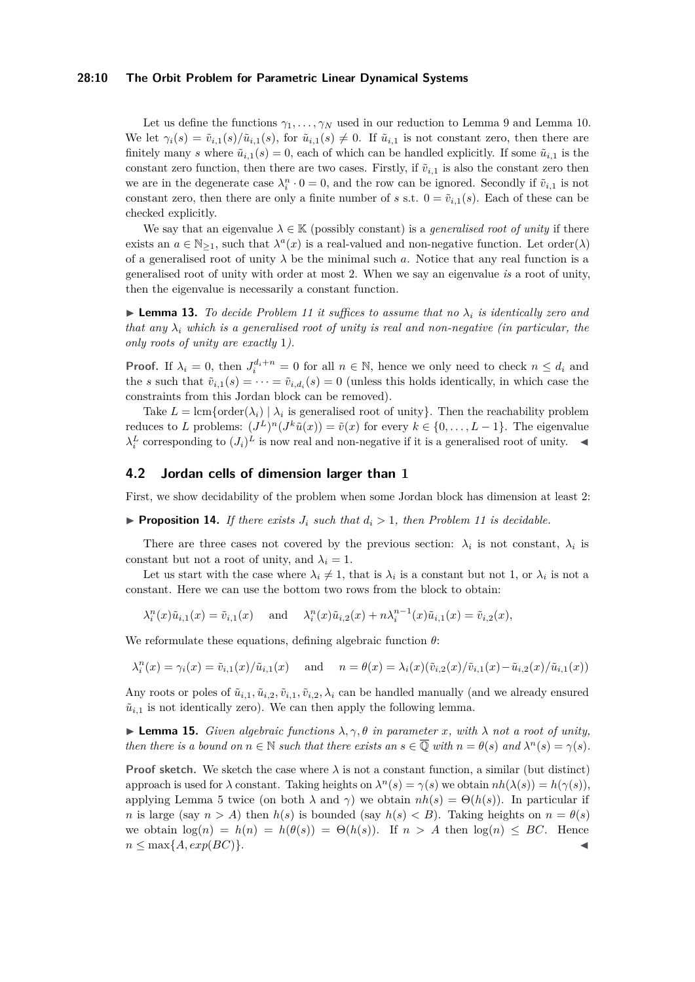#### **28:10 The Orbit Problem for Parametric Linear Dynamical Systems**

Let us define the functions *γ*1*, . . . , γ<sup>N</sup>* used in our reduction to [Lemma 9](#page-7-0) and [Lemma 10.](#page-8-1) We let  $\gamma_i(s) = \tilde{v}_{i,1}(s)/\tilde{u}_{i,1}(s)$ , for  $\tilde{u}_{i,1}(s) \neq 0$ . If  $\tilde{u}_{i,1}$  is not constant zero, then there are finitely many *s* where  $\tilde{u}_{i,1}(s) = 0$ , each of which can be handled explicitly. If some  $\tilde{u}_{i,1}$  is the constant zero function, then there are two cases. Firstly, if  $\tilde{v}_{i,1}$  is also the constant zero then we are in the degenerate case  $\lambda_i^n \cdot 0 = 0$ , and the row can be ignored. Secondly if  $\tilde{v}_{i,1}$  is not constant zero, then there are only a finite number of *s* s.t.  $0 = \tilde{v}_{i,1}(s)$ . Each of these can be checked explicitly.

We say that an eigenvalue  $\lambda \in \mathbb{K}$  (possibly constant) is a *generalised root of unity* if there exists an  $a \in \mathbb{N}_{\geq 1}$ , such that  $\lambda^a(x)$  is a real-valued and non-negative function. Let order( $\lambda$ ) of a generalised root of unity  $\lambda$  be the minimal such *a*. Notice that any real function is a generalised root of unity with order at most 2. When we say an eigenvalue *is* a root of unity, then the eigenvalue is necessarily a constant function.

<span id="page-9-2"></span> $\triangleright$  **Lemma 13.** To decide Problem [11](#page-8-2) it suffices to assume that no  $\lambda_i$  is identically zero and *that any*  $\lambda_i$  *which is a generalised root of unity is real and non-negative (in particular, the only roots of unity are exactly* 1*).*

**Proof.** If  $\lambda_i = 0$ , then  $J_i^{d_i+n} = 0$  for all  $n \in \mathbb{N}$ , hence we only need to check  $n \leq d_i$  and the *s* such that  $\tilde{v}_{i,1}(s) = \cdots = \tilde{v}_{i,d_i}(s) = 0$  (unless this holds identically, in which case the constraints from this Jordan block can be removed).

Take  $L = \text{lcm}\{\text{order}(\lambda_i) \mid \lambda_i \text{ is generalised root of unity}\}\.$  Then the reachability problem reduces to *L* problems:  $(J^L)^n(J^k\tilde{u}(x)) = \tilde{v}(x)$  for every  $k \in \{0, \ldots, L-1\}$ . The eigenvalue  $\lambda_i^L$  corresponding to  $(J_i)^L$  is now real and non-negative if it is a generalised root of unity.  $\blacktriangleleft$ 

#### <span id="page-9-0"></span>**4.2 Jordan cells of dimension larger than 1**

First, we show decidability of the problem when some Jordan block has dimension at least 2:

 $\blacktriangleright$  **Proposition 14.** *If there exists*  $J_i$  *such that*  $d_i > 1$ *, then Problem [11](#page-8-2) is decidable.* 

There are three cases not covered by the previous section:  $\lambda_i$  is not constant,  $\lambda_i$  is constant but not a root of unity, and  $\lambda_i = 1$ .

Let us start with the case where  $\lambda_i \neq 1$ , that is  $\lambda_i$  is a constant but not 1, or  $\lambda_i$  is not a constant. Here we can use the bottom two rows from the block to obtain:

 $\lambda_i^n(x)\tilde{u}_{i,1}(x) = \tilde{v}_{i,1}(x)$  and  $\lambda_i^n(x)\tilde{u}_{i,2}(x) + n\lambda_i^{n-1}(x)\tilde{u}_{i,1}(x) = \tilde{v}_{i,2}(x)$ ,

We reformulate these equations, defining algebraic function *θ*:

$$
\lambda_i^n(x) = \gamma_i(x) = \tilde{v}_{i,1}(x)/\tilde{u}_{i,1}(x) \quad \text{ and } \quad n = \theta(x) = \lambda_i(x)(\tilde{v}_{i,2}(x)/\tilde{v}_{i,1}(x) - \tilde{u}_{i,2}(x)/\tilde{u}_{i,1}(x))
$$

Any roots or poles of  $\tilde{u}_{i,1}, \tilde{u}_{i,2}, \tilde{v}_{i,1}, \tilde{v}_{i,2}, \lambda_i$  can be handled manually (and we already ensured  $\tilde{u}_{i,1}$  is not identically zero). We can then apply the following lemma.

<span id="page-9-1"></span> $\blacktriangleright$  **Lemma 15.** *Given algebraic functions*  $\lambda, \gamma, \theta$  *in parameter x, with*  $\lambda$  *not a root of unity, then there is a bound on*  $n \in \mathbb{N}$  *such that there exists an*  $s \in \overline{\mathbb{Q}}$  *with*  $n = \theta(s)$  *and*  $\lambda^n(s) = \gamma(s)$ *.* 

**Proof sketch.** We sketch the case where  $\lambda$  is not a constant function, a similar (but distinct) approach is used for  $\lambda$  constant. Taking heights on  $\lambda^n(s) = \gamma(s)$  we obtain  $nh(\lambda(s)) = h(\gamma(s)),$ applying [Lemma 5](#page-5-1) twice (on both  $\lambda$  and  $\gamma$ ) we obtain  $nh(s) = \Theta(h(s))$ . In particular if *n* is large (say  $n > A$ ) then  $h(s)$  is bounded (say  $h(s) < B$ ). Taking heights on  $n = \theta(s)$ we obtain  $\log(n) = h(n) = h(\theta(s)) = \Theta(h(s))$ . If  $n > A$  then  $\log(n) \le BC$ . Hence  $n \leq \max\{A, exp(BC)\}.$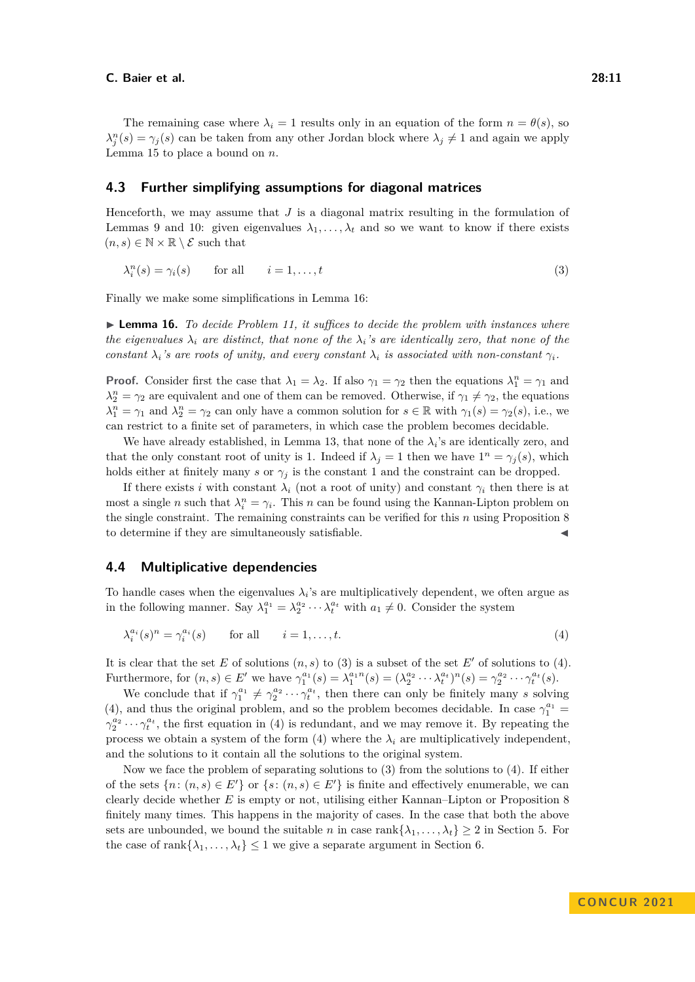The remaining case where  $\lambda_i = 1$  results only in an equation of the form  $n = \theta(s)$ , so  $\lambda_j^n(s) = \gamma_j(s)$  can be taken from any other Jordan block where  $\lambda_j \neq 1$  and again we apply [Lemma 15](#page-9-1) to place a bound on *n*.

## **4.3 Further simplifying assumptions for diagonal matrices**

Henceforth, we may assume that *J* is a diagonal matrix resulting in the formulation of Lemmas [9](#page-7-0) and [10:](#page-8-1) given eigenvalues  $\lambda_1, \ldots, \lambda_t$  and so we want to know if there exists  $(n, s) \in \mathbb{N} \times \mathbb{R} \setminus \mathcal{E}$  such that

<span id="page-10-1"></span>
$$
\lambda_i^n(s) = \gamma_i(s) \qquad \text{for all} \qquad i = 1, \dots, t \tag{3}
$$

<span id="page-10-0"></span>Finally we make some simplifications in [Lemma 16:](#page-10-0)

▶ **Lemma 16.** *To decide [Problem 11,](#page-8-2) it suffices to decide the problem with instances where the eigenvalues*  $\lambda_i$  *are distinct, that none of the*  $\lambda_i$ *'s are identically zero, that none of the constant*  $\lambda_i$ *'s are roots of unity, and every constant*  $\lambda_i$  *is associated with non-constant*  $\gamma_i$ *.* 

**Proof.** Consider first the case that  $\lambda_1 = \lambda_2$ . If also  $\gamma_1 = \gamma_2$  then the equations  $\lambda_1^n = \gamma_1$  and  $\lambda_2^n = \gamma_2$  are equivalent and one of them can be removed. Otherwise, if  $\gamma_1 \neq \gamma_2$ , the equations  $\lambda_1^n = \gamma_1$  and  $\lambda_2^n = \gamma_2$  can only have a common solution for  $s \in \mathbb{R}$  with  $\gamma_1(s) = \gamma_2(s)$ , i.e., we can restrict to a finite set of parameters, in which case the problem becomes decidable.

We have already established, in Lemma [13,](#page-9-2) that none of the  $\lambda_i$ 's are identically zero, and that the only constant root of unity is 1. Indeed if  $\lambda_j = 1$  then we have  $1^n = \gamma_j(s)$ , which holds either at finitely many *s* or  $\gamma_j$  is the constant 1 and the constraint can be dropped.

If there exists *i* with constant  $\lambda_i$  (not a root of unity) and constant  $\gamma_i$  then there is at most a single *n* such that  $\lambda_i^n = \gamma_i$ . This *n* can be found using the Kannan-Lipton problem on the single constraint. The remaining constraints can be verified for this *n* using [Proposition 8](#page-7-1) to determine if they are simultaneously satisfiable.

### <span id="page-10-3"></span>**4.4 Multiplicative dependencies**

To handle cases when the eigenvalues  $\lambda_i$ 's are multiplicatively dependent, we often argue as in the following manner. Say  $\lambda_1^{a_1} = \lambda_2^{a_2} \cdots \lambda_t^{a_t}$  with  $a_1 \neq 0$ . Consider the system

<span id="page-10-2"></span>
$$
\lambda_i^{a_i}(s)^n = \gamma_i^{a_i}(s) \qquad \text{for all} \qquad i = 1, \dots, t. \tag{4}
$$

It is clear that the set E of solutions  $(n, s)$  to [\(3\)](#page-10-1) is a subset of the set E' of solutions to [\(4\)](#page-10-2). Furthermore, for  $(n, s) \in E'$  we have  $\gamma_1^{a_1}(s) = \lambda_1^{a_1 n}(s) = (\lambda_2^{a_2} \cdots \lambda_t^{a_t})^n(s) = \gamma_2^{a_2} \cdots \gamma_t^{a_t}(s)$ .

We conclude that if  $\gamma_1^{a_1} \neq \gamma_2^{a_2} \cdots \gamma_t^{a_t}$ , then there can only be finitely many *s* solving [\(4\)](#page-10-2), and thus the original problem, and so the problem becomes decidable. In case  $\gamma_1^{a_1}$  =  $\gamma_2^{a_2} \cdots \gamma_t^{a_t}$ , the first equation in [\(4\)](#page-10-2) is redundant, and we may remove it. By repeating the process we obtain a system of the form [\(4\)](#page-10-2) where the  $\lambda_i$  are multiplicatively independent, and the solutions to it contain all the solutions to the original system.

Now we face the problem of separating solutions to [\(3\)](#page-10-1) from the solutions to [\(4\)](#page-10-2). If either of the sets  $\{n: (n, s) \in E'\}$  or  $\{s: (n, s) \in E'\}$  is finite and effectively enumerable, we can clearly decide whether *E* is empty or not, utilising either Kannan–Lipton or [Proposition 8](#page-7-1) finitely many times. This happens in the majority of cases. In the case that both the above sets are unbounded, we bound the suitable *n* in case  $rank{\lambda_1, \ldots, \lambda_t} \geq 2$  in Section [5.](#page-11-0) For the case of rank $\{\lambda_1, \ldots, \lambda_t\} \leq 1$  we give a separate argument in Section [6.](#page-13-0)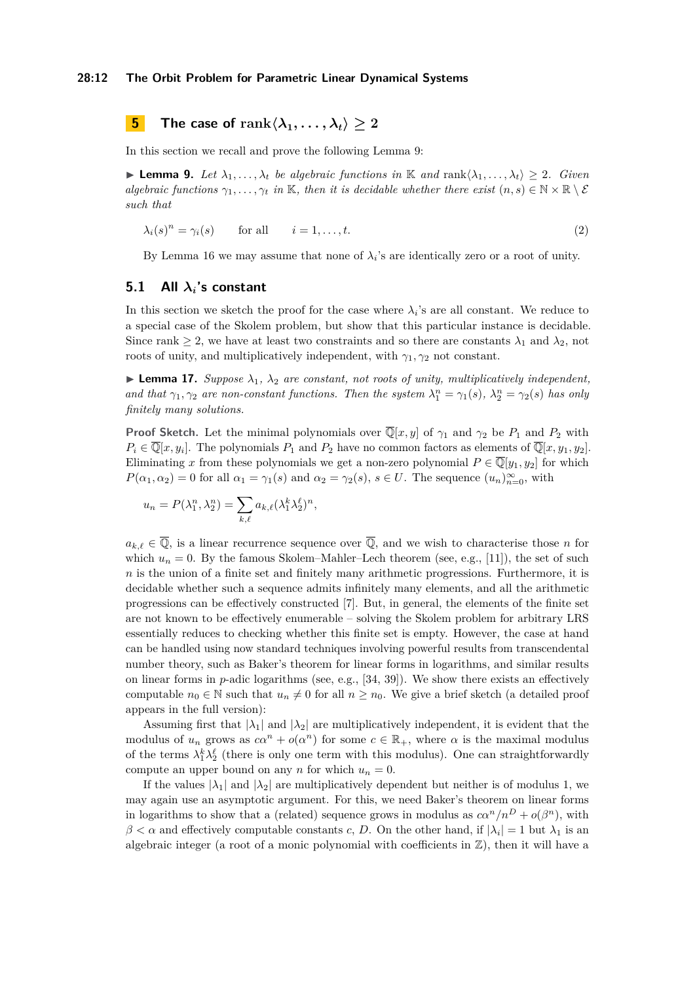<span id="page-11-0"></span>**5 The case of**  $\text{rank}\langle \lambda_1,\ldots,\lambda_t \rangle \geq 2$ 

In this section we recall and prove the following Lemma [9:](#page-7-0)

**► Lemma 9.** Let  $\lambda_1, ..., \lambda_t$  be algebraic functions in K and rank $\langle \lambda_1, ..., \lambda_t \rangle$  ≥ 2*. Given algebraic functions*  $\gamma_1, \ldots, \gamma_t$  *in* K, *then it is decidable whether there exist*  $(n, s) \in \mathbb{N} \times \mathbb{R} \setminus \mathcal{E}$ *such that*

$$
\lambda_i(s)^n = \gamma_i(s) \qquad \text{for all} \qquad i = 1, \dots, t. \tag{2}
$$

By [Lemma 16](#page-10-0) we may assume that none of  $\lambda_i$ 's are identically zero or a root of unity.

#### **5.1 All** *λi***'s constant**

In this section we sketch the proof for the case where  $\lambda_i$ 's are all constant. We reduce to a special case of the Skolem problem, but show that this particular instance is decidable. Since rank  $\geq 2$ , we have at least two constraints and so there are constants  $\lambda_1$  and  $\lambda_2$ , not roots of unity, and multiplicatively independent, with  $\gamma_1, \gamma_2$  not constant.

**Lemma 17.** Suppose  $\lambda_1$ ,  $\lambda_2$  are constant, not roots of unity, multiplicatively independent, *and that*  $\gamma_1, \gamma_2$  *are non-constant functions. Then the system*  $\lambda_1^n = \gamma_1(s)$ ,  $\lambda_2^n = \gamma_2(s)$  *has only finitely many solutions.*

**Proof Sketch.** Let the minimal polynomials over  $\overline{\mathbb{Q}}[x, y]$  of  $\gamma_1$  and  $\gamma_2$  be  $P_1$  and  $P_2$  with  $P_i \in \overline{\mathbb{Q}}[x, y_i]$ . The polynomials  $P_1$  and  $P_2$  have no common factors as elements of  $\overline{\mathbb{Q}}[x, y_1, y_2]$ . Eliminating *x* from these polynomials we get a non-zero polynomial  $P \in \overline{\mathbb{Q}}[y_1, y_2]$  for which  $P(\alpha_1, \alpha_2) = 0$  for all  $\alpha_1 = \gamma_1(s)$  and  $\alpha_2 = \gamma_2(s)$ ,  $s \in U$ . The sequence  $(u_n)_{n=0}^{\infty}$ , with

$$
u_n = P(\lambda_1^n, \lambda_2^n) = \sum_{k,\ell} a_{k,\ell} (\lambda_1^k \lambda_2^{\ell})^n,
$$

 $a_{k,\ell} \in \overline{Q}$ , is a linear recurrence sequence over  $\overline{Q}$ , and we wish to characterise those *n* for which  $u_n = 0$ . By the famous Skolem–Mahler–Lech theorem (see, e.g., [\[11\]](#page-15-15)), the set of such *n* is the union of a finite set and finitely many arithmetic progressions. Furthermore, it is decidable whether such a sequence admits infinitely many elements, and all the arithmetic progressions can be effectively constructed [\[7\]](#page-15-16). But, in general, the elements of the finite set are not known to be effectively enumerable – solving the Skolem problem for arbitrary LRS essentially reduces to checking whether this finite set is empty. However, the case at hand can be handled using now standard techniques involving powerful results from transcendental number theory, such as Baker's theorem for linear forms in logarithms, and similar results on linear forms in *p*-adic logarithms (see, e.g., [\[34,](#page-16-8) [39\]](#page-16-9)). We show there exists an effectively computable  $n_0 \in \mathbb{N}$  such that  $u_n \neq 0$  for all  $n \geq n_0$ . We give a brief sketch (a detailed proof appears in the full version):

Assuming first that  $|\lambda_1|$  and  $|\lambda_2|$  are multiplicatively independent, it is evident that the modulus of  $u_n$  grows as  $c\alpha^n + o(\alpha^n)$  for some  $c \in \mathbb{R}_+$ , where  $\alpha$  is the maximal modulus of the terms  $\lambda_1^k \lambda_2^{\ell}$  (there is only one term with this modulus). One can straightforwardly compute an upper bound on any *n* for which  $u_n = 0$ .

If the values  $|\lambda_1|$  and  $|\lambda_2|$  are multiplicatively dependent but neither is of modulus 1, we may again use an asymptotic argument. For this, we need Baker's theorem on linear forms in logarithms to show that a (related) sequence grows in modulus as  $c\alpha^n/n^D + o(\beta^n)$ , with  $\beta < \alpha$  and effectively computable constants *c*, *D*. On the other hand, if  $|\lambda_i| = 1$  but  $\lambda_1$  is an algebraic integer (a root of a monic polynomial with coefficients in  $\mathbb{Z}$ ), then it will have a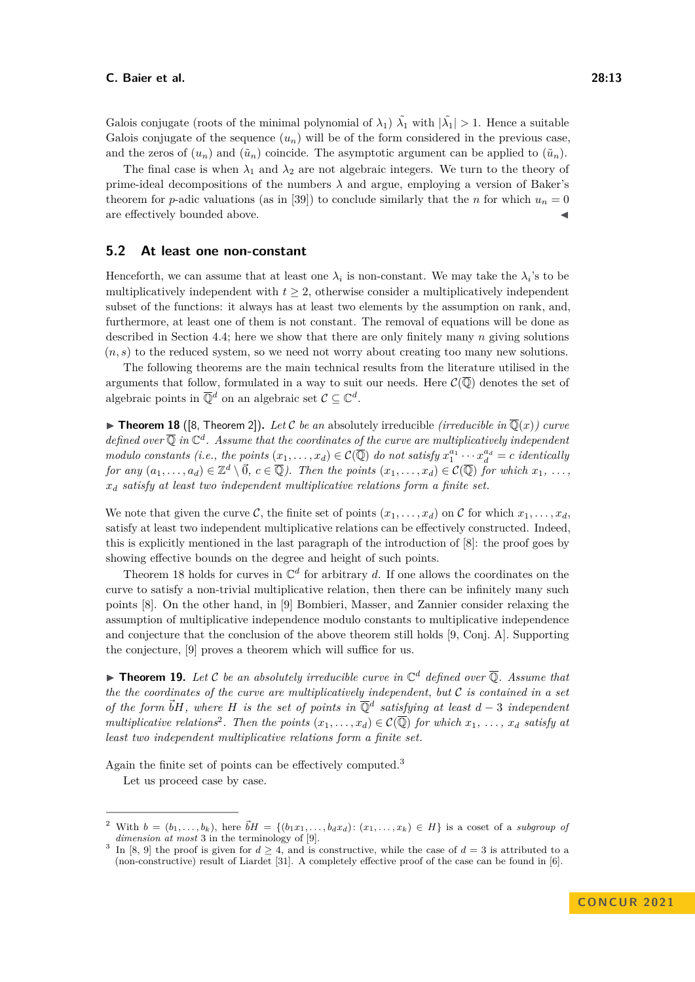Galois conjugate (roots of the minimal polynomial of  $\lambda_1$ )  $\tilde{\lambda_1}$  with  $|\tilde{\lambda_1}| > 1$ . Hence a suitable Galois conjugate of the sequence  $(u_n)$  will be of the form considered in the previous case, and the zeros of  $(u_n)$  and  $(\tilde{u}_n)$  coincide. The asymptotic argument can be applied to  $(\tilde{u}_n)$ .

The final case is when  $\lambda_1$  and  $\lambda_2$  are not algebraic integers. We turn to the theory of prime-ideal decompositions of the numbers *λ* and argue, employing a version of Baker's theorem for *p*-adic valuations (as in [\[39\]](#page-16-9)) to conclude similarly that the *n* for which  $u_n = 0$ are effectively bounded above.

#### **5.2 At least one non-constant**

Henceforth, we can assume that at least one  $\lambda_i$  is non-constant. We may take the  $\lambda_i$ 's to be multiplicatively independent with  $t \geq 2$ , otherwise consider a multiplicatively independent subset of the functions: it always has at least two elements by the assumption on rank, and, furthermore, at least one of them is not constant. The removal of equations will be done as described in Section [4.4;](#page-10-3) here we show that there are only finitely many *n* giving solutions (*n, s*) to the reduced system, so we need not worry about creating too many new solutions.

The following theorems are the main technical results from the literature utilised in the arguments that follow, formulated in a way to suit our needs. Here  $\mathcal{C}(\overline{\mathbb{Q}})$  denotes the set of algebraic points in  $\overline{\mathbb{Q}}^d$  on an algebraic set  $\mathcal{C} \subseteq \mathbb{C}^d$ .

<span id="page-12-0"></span> $\triangleright$  **Theorem 18** ([\[8,](#page-15-1) Theorem 2]). Let C be an absolutely irreducible *(irreducible in*  $\overline{Q}(x)$ *) curve* defined over  $\overline{Q}$  in  $\mathbb{C}^d$ . Assume that the coordinates of the curve are multiplicatively independent *modulo constants (i.e., the points*  $(x_1, \ldots, x_d) \in C(\overline{\mathbb{Q}})$  *do not satisfy*  $x_1^{a_1} \cdots x_d^{a_d} = c$  *identically for any*  $(a_1, \ldots, a_d) \in \mathbb{Z}^d \setminus \vec{0}, c \in \overline{\mathbb{Q}}$ . Then the points  $(x_1, \ldots, x_d) \in \mathcal{C}(\overline{\mathbb{Q}})$  *for which*  $x_1, \ldots, x_d$ *x<sup>d</sup> satisfy at least two independent multiplicative relations form a finite set.*

We note that given the curve C, the finite set of points  $(x_1, \ldots, x_d)$  on C for which  $x_1, \ldots, x_d$ , satisfy at least two independent multiplicative relations can be effectively constructed. Indeed, this is explicitly mentioned in the last paragraph of the introduction of [\[8\]](#page-15-1): the proof goes by showing effective bounds on the degree and height of such points.

[Theorem 18](#page-12-0) holds for curves in  $\mathbb{C}^d$  for arbitrary *d*. If one allows the coordinates on the curve to satisfy a non-trivial multiplicative relation, then there can be infinitely many such points [\[8\]](#page-15-1). On the other hand, in [\[9\]](#page-15-2) Bombieri, Masser, and Zannier consider relaxing the assumption of multiplicative independence modulo constants to multiplicative independence and conjecture that the conclusion of the above theorem still holds [\[9,](#page-15-2) Conj. A]. Supporting the conjecture, [\[9\]](#page-15-2) proves a theorem which will suffice for us.

<span id="page-12-3"></span> $\blacktriangleright$  **Theorem 19.** Let C be an absolutely irreducible curve in  $\mathbb{C}^d$  defined over  $\overline{\mathbb{Q}}$ . Assume that *the the coordinates of the curve are multiplicatively independent, but* C *is contained in a set of the form*  $\vec{b}H$ *, where H is the set of points in*  $\overline{\mathbb{Q}}^d$  *satisfying at least*  $d-3$  *independent multiplicative relations*<sup>[2](#page-12-1)</sup>. Then the points  $(x_1, \ldots, x_d) \in C(\overline{\mathbb{Q}})$  for which  $x_1, \ldots, x_d$  satisfy at *least two independent multiplicative relations form a finite set.*

Again the finite set of points can be effectively computed.<sup>[3](#page-12-2)</sup>

Let us proceed case by case.

<span id="page-12-1"></span>With  $b = (b_1, \ldots, b_k)$ , here  $\vec{b}H = \{(b_1x_1, \ldots, b_dx_d): (x_1, \ldots, x_k) \in H\}$  is a coset of a *subgroup of dimension at most* 3 in the terminology of [\[9\]](#page-15-2).

<span id="page-12-2"></span><sup>3</sup> In [\[8,](#page-15-1) [9\]](#page-15-2) the proof is given for  $d \geq 4$ , and is constructive, while the case of  $d = 3$  is attributed to a (non-constructive) result of Liardet [\[31\]](#page-16-16). A completely effective proof of the case can be found in [\[6\]](#page-15-17).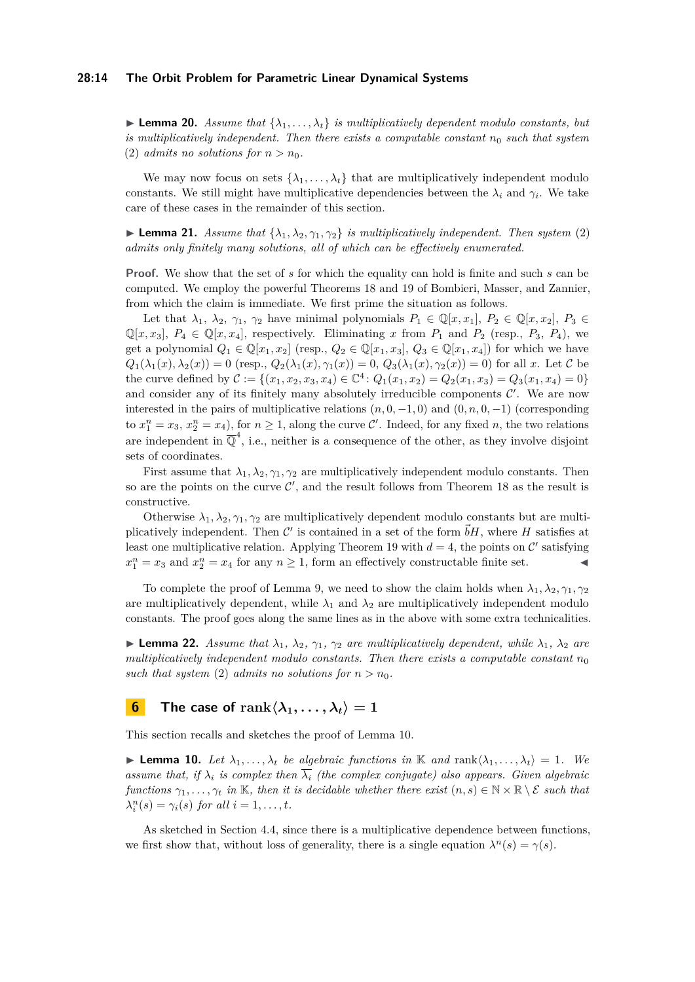#### **28:14 The Orbit Problem for Parametric Linear Dynamical Systems**

 $\blacktriangleright$  **Lemma 20.** *Assume that*  $\{\lambda_1, \ldots, \lambda_t\}$  *is multiplicatively dependent modulo constants, but is multiplicatively independent. Then there exists a computable constant*  $n_0$  *such that system* [\(2\)](#page-7-2) *admits no solutions for*  $n > n_0$ .

We may now focus on sets  $\{\lambda_1, \ldots, \lambda_t\}$  that are multiplicatively independent modulo constants. We still might have multiplicative dependencies between the  $\lambda_i$  and  $\gamma_i$ . We take care of these cases in the remainder of this section.

**Lemma 21.** *Assume that*  $\{\lambda_1, \lambda_2, \gamma_1, \gamma_2\}$  *is multiplicatively independent. Then system* [\(2\)](#page-7-2) *admits only finitely many solutions, all of which can be effectively enumerated.*

**Proof.** We show that the set of *s* for which the equality can hold is finite and such *s* can be computed. We employ the powerful Theorems [18](#page-12-0) and [19](#page-12-3) of Bombieri, Masser, and Zannier, from which the claim is immediate. We first prime the situation as follows.

Let that  $\lambda_1, \lambda_2, \gamma_1, \gamma_2$  have minimal polynomials  $P_1 \in \mathbb{Q}[x, x_1], P_2 \in \mathbb{Q}[x, x_2], P_3 \in$  $\mathbb{Q}[x, x_3], P_4 \in \mathbb{Q}[x, x_4],$  respectively. Eliminating x from  $P_1$  and  $P_2$  (resp.,  $P_3$ ,  $P_4$ ), we get a polynomial  $Q_1 \in \mathbb{Q}[x_1, x_2]$  (resp.,  $Q_2 \in \mathbb{Q}[x_1, x_3]$ ,  $Q_3 \in \mathbb{Q}[x_1, x_4]$ ) for which we have  $Q_1(\lambda_1(x), \lambda_2(x)) = 0$  (resp.,  $Q_2(\lambda_1(x), \gamma_1(x)) = 0$ ,  $Q_3(\lambda_1(x), \gamma_2(x)) = 0$ ) for all *x*. Let C be the curve defined by  $C := \{(x_1, x_2, x_3, x_4) \in \mathbb{C}^4 : Q_1(x_1, x_2) = Q_2(x_1, x_3) = Q_3(x_1, x_4) = 0\}$ and consider any of its finitely many absolutely irreducible components  $\mathcal{C}'$ . We are now interested in the pairs of multiplicative relations  $(n, 0, -1, 0)$  and  $(0, n, 0, -1)$  (corresponding to  $x_1^n = x_3$ ,  $x_2^n = x_4$ ), for  $n \ge 1$ , along the curve C'. Indeed, for any fixed *n*, the two relations are independent in  $\overline{\mathbb{Q}}^4$ , i.e., neither is a consequence of the other, as they involve disjoint sets of coordinates.

First assume that  $\lambda_1, \lambda_2, \gamma_1, \gamma_2$  are multiplicatively independent modulo constants. Then so are the points on the curve  $\mathcal{C}'$ , and the result follows from [Theorem 18](#page-12-0) as the result is constructive.

Otherwise  $\lambda_1, \lambda_2, \gamma_1, \gamma_2$  are multiplicatively dependent modulo constants but are multiplicatively independent. Then  $\mathcal{C}'$  is contained in a set of the form  $\vec{b}H$ , where H satisfies at least one multiplicative relation. Applying [Theorem 19](#page-12-3) with  $d = 4$ , the points on C' satisfying  $x_1^n = x_3$  and  $x_2^n = x_4$  for any  $n \ge 1$ , form an effectively constructable finite set.

To complete the proof of [Lemma 9,](#page-7-0) we need to show the claim holds when  $\lambda_1, \lambda_2, \gamma_1, \gamma_2$ are multiplicatively dependent, while  $\lambda_1$  and  $\lambda_2$  are multiplicatively independent modulo constants. The proof goes along the same lines as in the above with some extra technicalities.

**Example 22.** Assume that  $\lambda_1$ ,  $\lambda_2$ ,  $\gamma_1$ ,  $\gamma_2$  are multiplicatively dependent, while  $\lambda_1$ ,  $\lambda_2$  are *multiplicatively independent modulo constants. Then there exists a computable constant*  $n_0$ *such that system* [\(2\)](#page-7-2) *admits no solutions for*  $n > n_0$ .

# <span id="page-13-0"></span>**6 The case of**  $\text{rank}\langle \lambda_1,\ldots,\lambda_t \rangle = 1$

This section recalls and sketches the proof of Lemma [10.](#page-8-1)

**Example 10.** *Let*  $\lambda_1, \ldots, \lambda_t$  *be algebraic functions in* K *and* rank $\langle \lambda_1, \ldots, \lambda_t \rangle = 1$ *. We assume that, if*  $\lambda_i$  *is complex then*  $\lambda_i$  *(the complex conjugate) also appears. Given algebraic functions*  $\gamma_1, \ldots, \gamma_t$  *in* K*, then it is decidable whether there exist*  $(n, s) \in \mathbb{N} \times \mathbb{R} \setminus \mathcal{E}$  *such that*  $\lambda_i^n(s) = \gamma_i(s)$  *for all*  $i = 1, \ldots, t$ *.* 

As sketched in Section [4.4,](#page-10-3) since there is a multiplicative dependence between functions, we first show that, without loss of generality, there is a single equation  $\lambda^n(s) = \gamma(s)$ .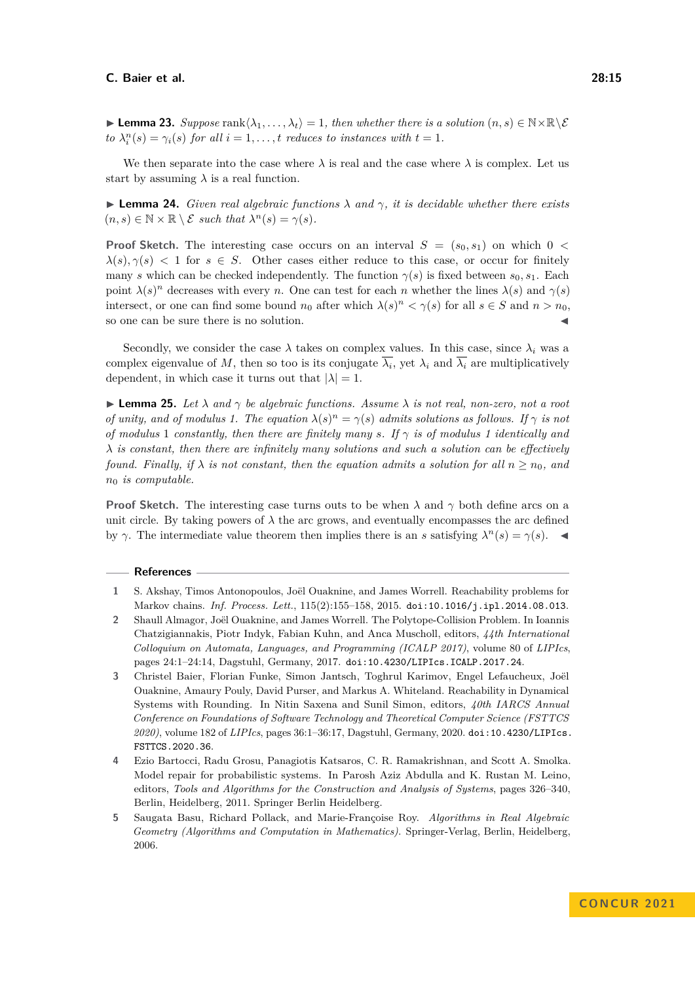We then separate into the case where  $\lambda$  is real and the case where  $\lambda$  is complex. Let us start by assuming  $\lambda$  is a real function.

 $\triangleright$  **Lemma 24.** *Given real algebraic functions*  $\lambda$  *and*  $\gamma$ *, it is decidable whether there exists*  $(n, s) \in \mathbb{N} \times \mathbb{R} \setminus \mathcal{E}$  *such that*  $\lambda^{n}(s) = \gamma(s)$ *.* 

**Proof Sketch.** The interesting case occurs on an interval  $S = (s_0, s_1)$  on which  $0 <$  $\lambda(s), \gamma(s)$  < 1 for  $s \in S$ . Other cases either reduce to this case, or occur for finitely many *s* which can be checked independently. The function  $\gamma(s)$  is fixed between  $s_0, s_1$ . Each point  $\lambda(s)^n$  decreases with every *n*. One can test for each *n* whether the lines  $\lambda(s)$  and  $\gamma(s)$ intersect, or one can find some bound  $n_0$  after which  $\lambda(s)^n < \gamma(s)$  for all  $s \in S$  and  $n > n_0$ , so one can be sure there is no solution.  $\blacktriangleleft$ 

Secondly, we consider the case  $\lambda$  takes on complex values. In this case, since  $\lambda_i$  was a complex eigenvalue of M, then so too is its conjugate  $\lambda_i$ , yet  $\lambda_i$  and  $\lambda_i$  are multiplicatively dependent, in which case it turns out that  $|\lambda| = 1$ .

 $\blacktriangleright$  **Lemma 25.** Let  $\lambda$  and  $\gamma$  be algebraic functions. Assume  $\lambda$  is not real, non-zero, not a root *of unity, and of modulus 1. The equation*  $\lambda(s)^n = \gamma(s)$  *admits solutions as follows. If*  $\gamma$  *is not of modulus* 1 *constantly, then there are finitely many s.* If  $\gamma$  *is of modulus* 1 *identically and λ is constant, then there are infinitely many solutions and such a solution can be effectively found. Finally, if*  $\lambda$  *is not constant, then the equation admits a solution for all*  $n \geq n_0$ *, and n*<sup>0</sup> *is computable.*

**Proof Sketch.** The interesting case turns outs to be when  $\lambda$  and  $\gamma$  both define arcs on a unit circle. By taking powers of  $\lambda$  the arc grows, and eventually encompasses the arc defined by *γ*. The intermediate value theorem then implies there is an *s* satisfying  $\lambda^n(s) = \gamma(s)$ .

#### **References**

- <span id="page-14-3"></span>**1** S. Akshay, Timos Antonopoulos, Joël Ouaknine, and James Worrell. Reachability problems for Markov chains. *Inf. Process. Lett.*, 115(2):155–158, 2015. [doi:10.1016/j.ipl.2014.08.013](https://doi.org/10.1016/j.ipl.2014.08.013).
- <span id="page-14-0"></span>**2** Shaull Almagor, Joël Ouaknine, and James Worrell. The Polytope-Collision Problem. In Ioannis Chatzigiannakis, Piotr Indyk, Fabian Kuhn, and Anca Muscholl, editors, *44th International Colloquium on Automata, Languages, and Programming (ICALP 2017)*, volume 80 of *LIPIcs*, pages 24:1–24:14, Dagstuhl, Germany, 2017. [doi:10.4230/LIPIcs.ICALP.2017.24](https://doi.org/10.4230/LIPIcs.ICALP.2017.24).
- <span id="page-14-1"></span>**3** Christel Baier, Florian Funke, Simon Jantsch, Toghrul Karimov, Engel Lefaucheux, Joël Ouaknine, Amaury Pouly, David Purser, and Markus A. Whiteland. Reachability in Dynamical Systems with Rounding. In Nitin Saxena and Sunil Simon, editors, *40th IARCS Annual Conference on Foundations of Software Technology and Theoretical Computer Science (FSTTCS 2020)*, volume 182 of *LIPIcs*, pages 36:1–36:17, Dagstuhl, Germany, 2020. [doi:10.4230/LIPIcs.](https://doi.org/10.4230/LIPIcs.FSTTCS.2020.36) [FSTTCS.2020.36](https://doi.org/10.4230/LIPIcs.FSTTCS.2020.36).
- <span id="page-14-2"></span>**4** Ezio Bartocci, Radu Grosu, Panagiotis Katsaros, C. R. Ramakrishnan, and Scott A. Smolka. Model repair for probabilistic systems. In Parosh Aziz Abdulla and K. Rustan M. Leino, editors, *Tools and Algorithms for the Construction and Analysis of Systems*, pages 326–340, Berlin, Heidelberg, 2011. Springer Berlin Heidelberg.
- <span id="page-14-4"></span>**5** Saugata Basu, Richard Pollack, and Marie-Françoise Roy. *Algorithms in Real Algebraic Geometry (Algorithms and Computation in Mathematics)*. Springer-Verlag, Berlin, Heidelberg, 2006.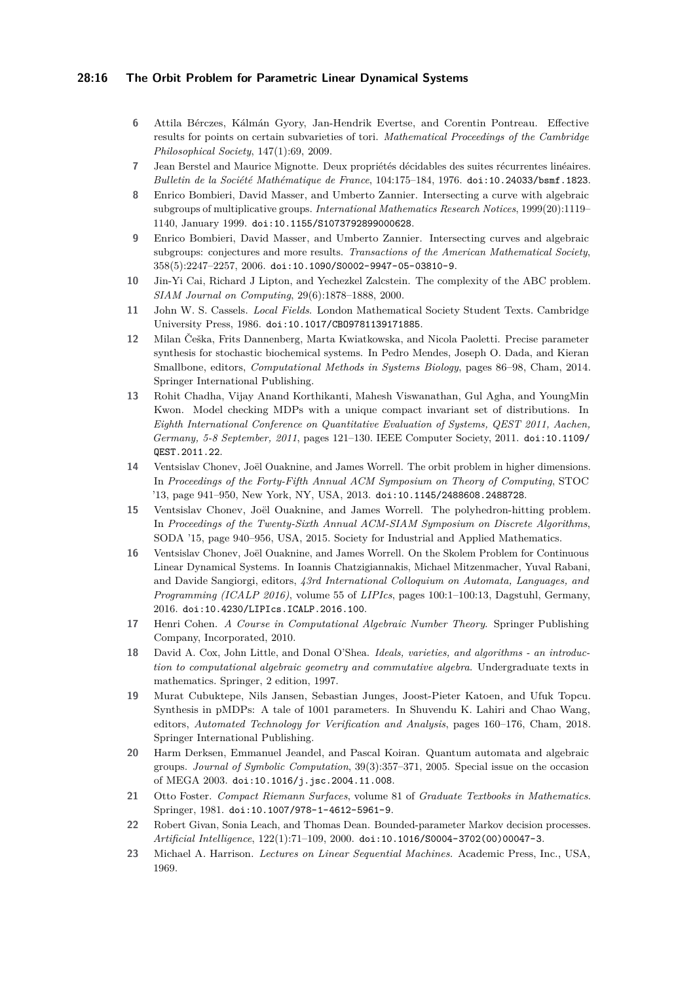#### **28:16 The Orbit Problem for Parametric Linear Dynamical Systems**

- <span id="page-15-17"></span>**6** Attila Bérczes, Kálmán Gyory, Jan-Hendrik Evertse, and Corentin Pontreau. Effective results for points on certain subvarieties of tori. *Mathematical Proceedings of the Cambridge Philosophical Society*, 147(1):69, 2009.
- <span id="page-15-16"></span>**7** Jean Berstel and Maurice Mignotte. Deux propriétés décidables des suites récurrentes linéaires. *Bulletin de la Société Mathématique de France*, 104:175–184, 1976. [doi:10.24033/bsmf.1823](https://doi.org/10.24033/bsmf.1823).
- <span id="page-15-1"></span>**8** Enrico Bombieri, David Masser, and Umberto Zannier. Intersecting a curve with algebraic subgroups of multiplicative groups. *International Mathematics Research Notices*, 1999(20):1119– 1140, January 1999. [doi:10.1155/S1073792899000628](https://doi.org/10.1155/S1073792899000628).
- <span id="page-15-2"></span>**9** Enrico Bombieri, David Masser, and Umberto Zannier. Intersecting curves and algebraic subgroups: conjectures and more results. *Transactions of the American Mathematical Society*, 358(5):2247–2257, 2006. [doi:10.1090/S0002-9947-05-03810-9](https://doi.org/10.1090/S0002-9947-05-03810-9).
- <span id="page-15-5"></span>**10** Jin-Yi Cai, Richard J Lipton, and Yechezkel Zalcstein. The complexity of the ABC problem. *SIAM Journal on Computing*, 29(6):1878–1888, 2000.
- <span id="page-15-15"></span>**11** John W. S. Cassels. *Local Fields*. London Mathematical Society Student Texts. Cambridge University Press, 1986. [doi:10.1017/CBO9781139171885](https://doi.org/10.1017/CBO9781139171885).
- <span id="page-15-7"></span>**12** Milan Češka, Frits Dannenberg, Marta Kwiatkowska, and Nicola Paoletti. Precise parameter synthesis for stochastic biochemical systems. In Pedro Mendes, Joseph O. Dada, and Kieran Smallbone, editors, *Computational Methods in Systems Biology*, pages 86–98, Cham, 2014. Springer International Publishing.
- <span id="page-15-9"></span>**13** Rohit Chadha, Vijay Anand Korthikanti, Mahesh Viswanathan, Gul Agha, and YoungMin Kwon. Model checking MDPs with a unique compact invariant set of distributions. In *Eighth International Conference on Quantitative Evaluation of Systems, QEST 2011, Aachen, Germany, 5-8 September, 2011*, pages 121–130. IEEE Computer Society, 2011. [doi:10.1109/](https://doi.org/10.1109/QEST.2011.22) [QEST.2011.22](https://doi.org/10.1109/QEST.2011.22).
- <span id="page-15-3"></span>**14** Ventsislav Chonev, Joël Ouaknine, and James Worrell. The orbit problem in higher dimensions. In *Proceedings of the Forty-Fifth Annual ACM Symposium on Theory of Computing*, STOC '13, page 941–950, New York, NY, USA, 2013. [doi:10.1145/2488608.2488728](https://doi.org/10.1145/2488608.2488728).
- <span id="page-15-4"></span>**15** Ventsislav Chonev, Joël Ouaknine, and James Worrell. The polyhedron-hitting problem. In *Proceedings of the Twenty-Sixth Annual ACM-SIAM Symposium on Discrete Algorithms*, SODA '15, page 940–956, USA, 2015. Society for Industrial and Applied Mathematics.
- <span id="page-15-10"></span>**16** Ventsislav Chonev, Joël Ouaknine, and James Worrell. On the Skolem Problem for Continuous Linear Dynamical Systems. In Ioannis Chatzigiannakis, Michael Mitzenmacher, Yuval Rabani, and Davide Sangiorgi, editors, *43rd International Colloquium on Automata, Languages, and Programming (ICALP 2016)*, volume 55 of *LIPIcs*, pages 100:1–100:13, Dagstuhl, Germany, 2016. [doi:10.4230/LIPIcs.ICALP.2016.100](https://doi.org/10.4230/LIPIcs.ICALP.2016.100).
- <span id="page-15-11"></span>**17** Henri Cohen. *A Course in Computational Algebraic Number Theory*. Springer Publishing Company, Incorporated, 2010.
- <span id="page-15-12"></span>**18** David A. Cox, John Little, and Donal O'Shea. *Ideals, varieties, and algorithms - an introduction to computational algebraic geometry and commutative algebra*. Undergraduate texts in mathematics. Springer, 2 edition, 1997.
- <span id="page-15-8"></span>**19** Murat Cubuktepe, Nils Jansen, Sebastian Junges, Joost-Pieter Katoen, and Ufuk Topcu. Synthesis in pMDPs: A tale of 1001 parameters. In Shuvendu K. Lahiri and Chao Wang, editors, *Automated Technology for Verification and Analysis*, pages 160–176, Cham, 2018. Springer International Publishing.
- <span id="page-15-14"></span>**20** Harm Derksen, Emmanuel Jeandel, and Pascal Koiran. Quantum automata and algebraic groups. *Journal of Symbolic Computation*, 39(3):357–371, 2005. Special issue on the occasion of MEGA 2003. [doi:10.1016/j.jsc.2004.11.008](https://doi.org/10.1016/j.jsc.2004.11.008).
- <span id="page-15-13"></span>**21** Otto Foster. *Compact Riemann Surfaces*, volume 81 of *Graduate Textbooks in Mathematics*. Springer, 1981. [doi:10.1007/978-1-4612-5961-9](https://doi.org/10.1007/978-1-4612-5961-9).
- <span id="page-15-6"></span>**22** Robert Givan, Sonia Leach, and Thomas Dean. Bounded-parameter Markov decision processes. *Artificial Intelligence*, 122(1):71–109, 2000. [doi:10.1016/S0004-3702\(00\)00047-3](https://doi.org/10.1016/S0004-3702(00)00047-3).
- <span id="page-15-0"></span>**23** Michael A. Harrison. *Lectures on Linear Sequential Machines*. Academic Press, Inc., USA, 1969.